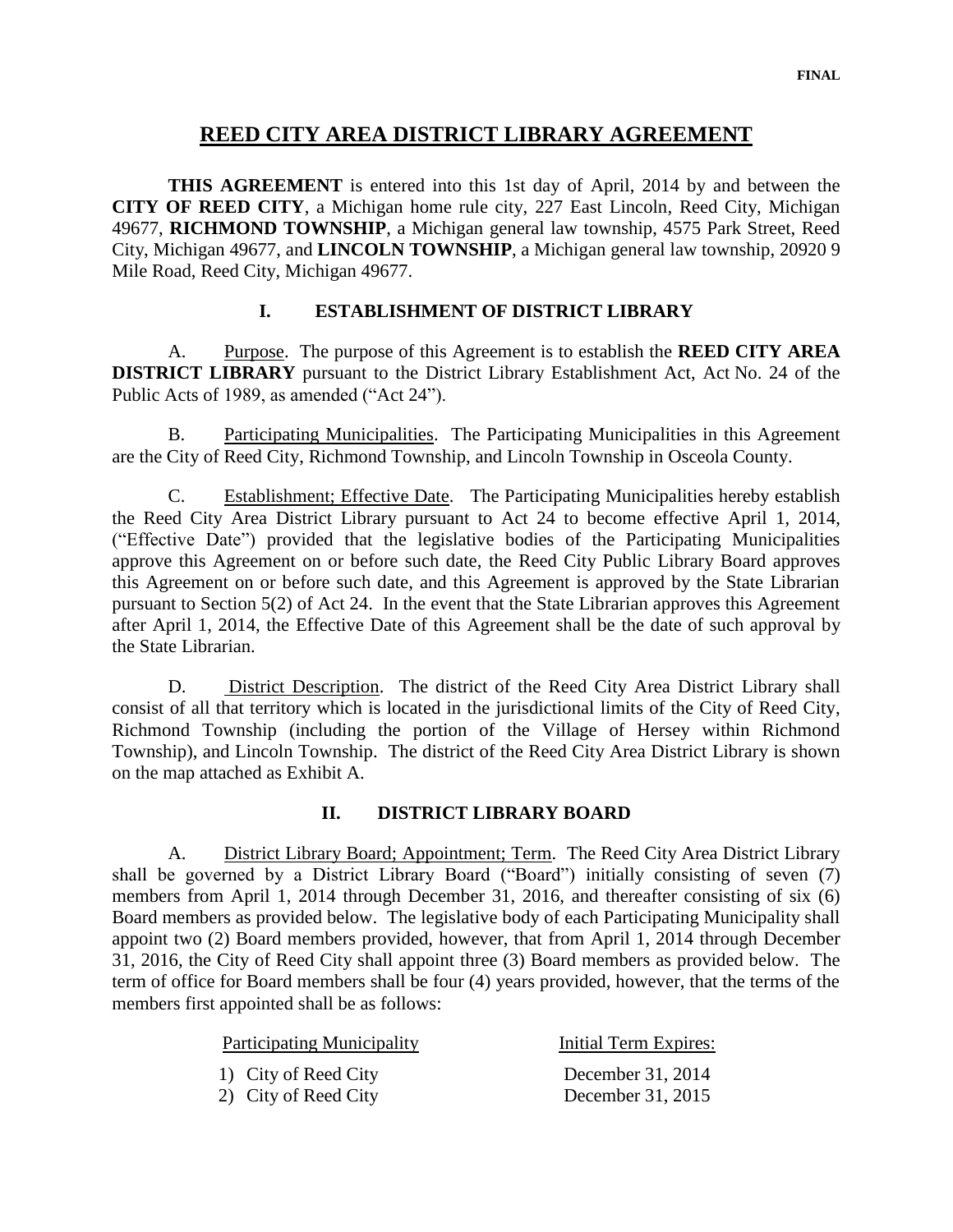## **REED CITY AREA DISTRICT LIBRARY AGREEMENT**

**THIS AGREEMENT** is entered into this 1st day of April, 2014 by and between the **CITY OF REED CITY**, a Michigan home rule city, 227 East Lincoln, Reed City, Michigan 49677, **RICHMOND TOWNSHIP**, a Michigan general law township, 4575 Park Street, Reed City, Michigan 49677, and **LINCOLN TOWNSHIP**, a Michigan general law township, 20920 9 Mile Road, Reed City, Michigan 49677.

## **I. ESTABLISHMENT OF DISTRICT LIBRARY**

A. Purpose. The purpose of this Agreement is to establish the **REED CITY AREA DISTRICT LIBRARY** pursuant to the District Library Establishment Act, Act No. 24 of the Public Acts of 1989, as amended ("Act 24").

B. Participating Municipalities. The Participating Municipalities in this Agreement are the City of Reed City, Richmond Township, and Lincoln Township in Osceola County.

C. Establishment; Effective Date. The Participating Municipalities hereby establish the Reed City Area District Library pursuant to Act 24 to become effective April 1, 2014, ("Effective Date") provided that the legislative bodies of the Participating Municipalities approve this Agreement on or before such date, the Reed City Public Library Board approves this Agreement on or before such date, and this Agreement is approved by the State Librarian pursuant to Section 5(2) of Act 24. In the event that the State Librarian approves this Agreement after April 1, 2014, the Effective Date of this Agreement shall be the date of such approval by the State Librarian.

D. District Description. The district of the Reed City Area District Library shall consist of all that territory which is located in the jurisdictional limits of the City of Reed City, Richmond Township (including the portion of the Village of Hersey within Richmond Township), and Lincoln Township. The district of the Reed City Area District Library is shown on the map attached as Exhibit A.

## **II. DISTRICT LIBRARY BOARD**

A. District Library Board; Appointment; Term. The Reed City Area District Library shall be governed by a District Library Board ("Board") initially consisting of seven (7) members from April 1, 2014 through December 31, 2016, and thereafter consisting of six (6) Board members as provided below. The legislative body of each Participating Municipality shall appoint two (2) Board members provided, however, that from April 1, 2014 through December 31, 2016, the City of Reed City shall appoint three (3) Board members as provided below. The term of office for Board members shall be four (4) years provided, however, that the terms of the members first appointed shall be as follows:

| <b>Participating Municipality</b> | Initial Term Expires: |
|-----------------------------------|-----------------------|
| 1) City of Reed City              | December 31, 2014     |
| 2) City of Reed City              | December 31, 2015     |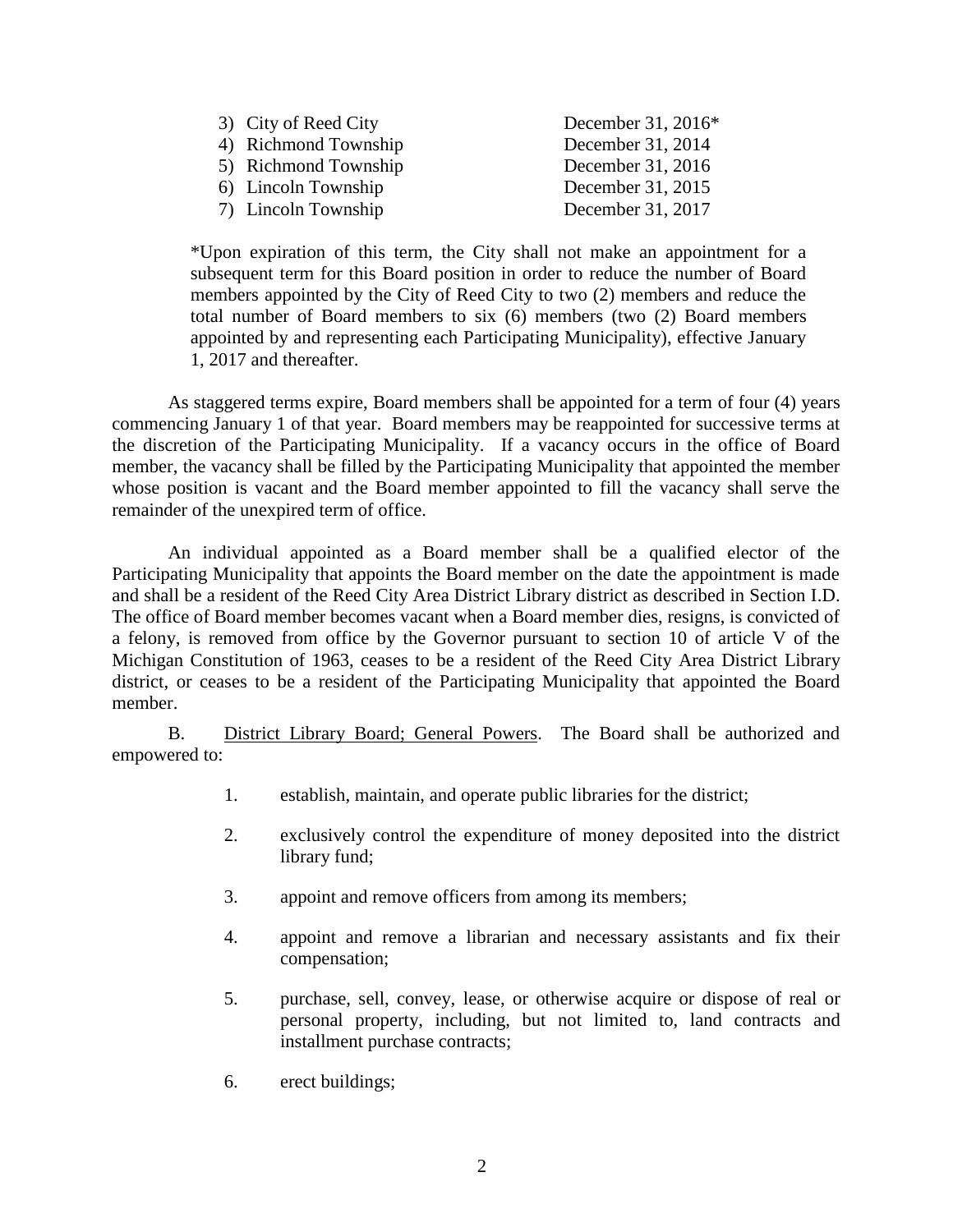| 3) City of Reed City | December 31, 2016* |
|----------------------|--------------------|
|                      |                    |
| 4) Richmond Township | December 31, 2014  |
| 5) Richmond Township | December 31, 2016  |
| 6) Lincoln Township  | December 31, 2015  |
| 7) Lincoln Township  | December 31, 2017  |

\*Upon expiration of this term, the City shall not make an appointment for a subsequent term for this Board position in order to reduce the number of Board members appointed by the City of Reed City to two (2) members and reduce the total number of Board members to six (6) members (two (2) Board members appointed by and representing each Participating Municipality), effective January 1, 2017 and thereafter.

As staggered terms expire, Board members shall be appointed for a term of four (4) years commencing January 1 of that year. Board members may be reappointed for successive terms at the discretion of the Participating Municipality. If a vacancy occurs in the office of Board member, the vacancy shall be filled by the Participating Municipality that appointed the member whose position is vacant and the Board member appointed to fill the vacancy shall serve the remainder of the unexpired term of office.

An individual appointed as a Board member shall be a qualified elector of the Participating Municipality that appoints the Board member on the date the appointment is made and shall be a resident of the Reed City Area District Library district as described in Section I.D. The office of Board member becomes vacant when a Board member dies, resigns, is convicted of a felony, is removed from office by the Governor pursuant to section 10 of article V of the Michigan Constitution of 1963, ceases to be a resident of the Reed City Area District Library district, or ceases to be a resident of the Participating Municipality that appointed the Board member.

B. District Library Board; General Powers. The Board shall be authorized and empowered to:

- 1. establish, maintain, and operate public libraries for the district;
- 2. exclusively control the expenditure of money deposited into the district library fund;
- 3. appoint and remove officers from among its members;
- 4. appoint and remove a librarian and necessary assistants and fix their compensation;
- 5. purchase, sell, convey, lease, or otherwise acquire or dispose of real or personal property, including, but not limited to, land contracts and installment purchase contracts;
- 6. erect buildings;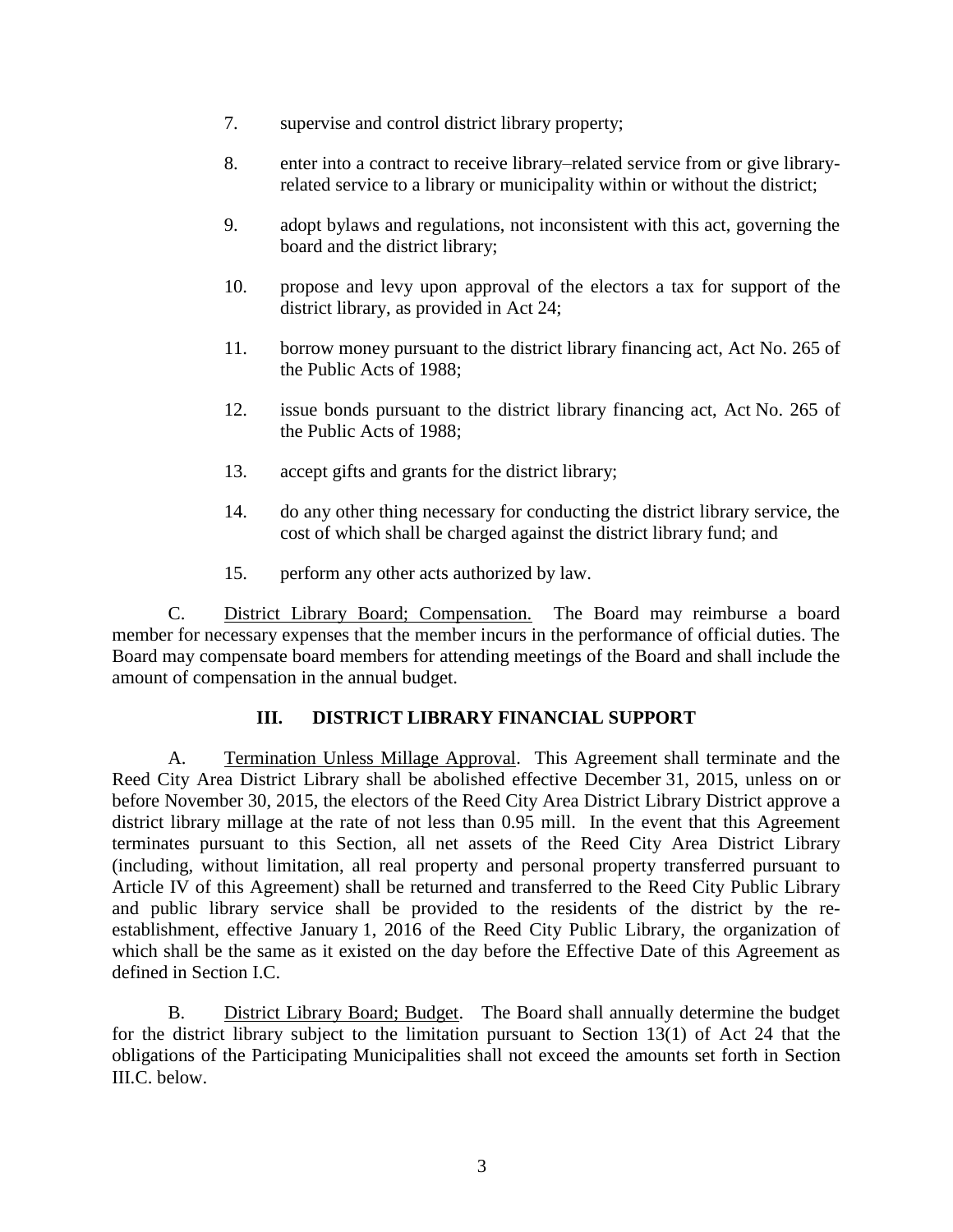- 7. supervise and control district library property;
- 8. enter into a contract to receive library–related service from or give libraryrelated service to a library or municipality within or without the district;
- 9. adopt bylaws and regulations, not inconsistent with this act, governing the board and the district library;
- 10. propose and levy upon approval of the electors a tax for support of the district library, as provided in Act 24;
- 11. borrow money pursuant to the district library financing act, Act No. 265 of the Public Acts of 1988;
- 12. issue bonds pursuant to the district library financing act, Act No. 265 of the Public Acts of 1988;
- 13. accept gifts and grants for the district library;
- 14. do any other thing necessary for conducting the district library service, the cost of which shall be charged against the district library fund; and
- 15. perform any other acts authorized by law.

C. District Library Board; Compensation. The Board may reimburse a board member for necessary expenses that the member incurs in the performance of official duties. The Board may compensate board members for attending meetings of the Board and shall include the amount of compensation in the annual budget.

## **III. DISTRICT LIBRARY FINANCIAL SUPPORT**

A. Termination Unless Millage Approval. This Agreement shall terminate and the Reed City Area District Library shall be abolished effective December 31, 2015, unless on or before November 30, 2015, the electors of the Reed City Area District Library District approve a district library millage at the rate of not less than 0.95 mill. In the event that this Agreement terminates pursuant to this Section, all net assets of the Reed City Area District Library (including, without limitation, all real property and personal property transferred pursuant to Article IV of this Agreement) shall be returned and transferred to the Reed City Public Library and public library service shall be provided to the residents of the district by the reestablishment, effective January 1, 2016 of the Reed City Public Library, the organization of which shall be the same as it existed on the day before the Effective Date of this Agreement as defined in Section I.C.

B. District Library Board; Budget. The Board shall annually determine the budget for the district library subject to the limitation pursuant to Section 13(1) of Act 24 that the obligations of the Participating Municipalities shall not exceed the amounts set forth in Section III.C. below.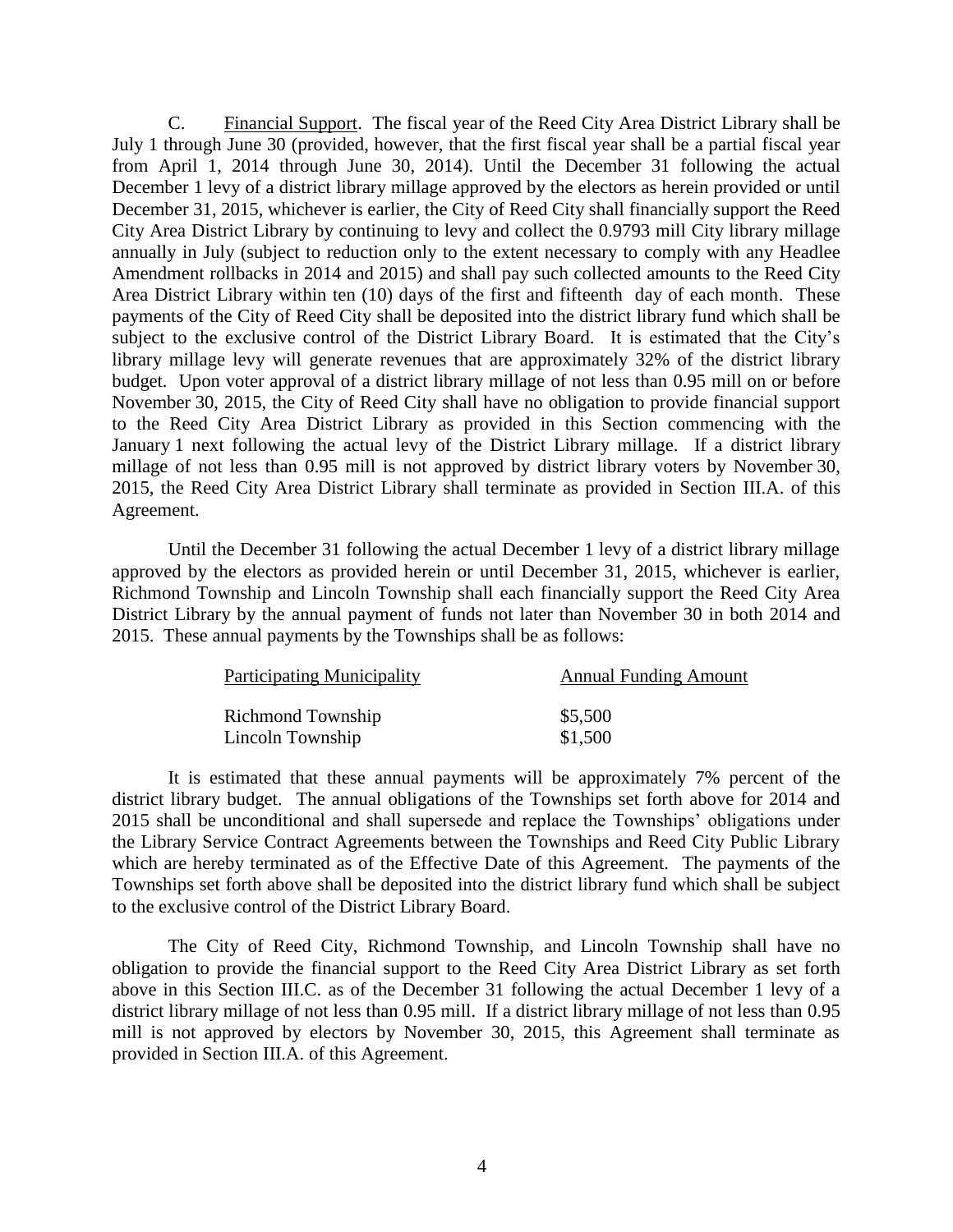C. Financial Support. The fiscal year of the Reed City Area District Library shall be July 1 through June 30 (provided, however, that the first fiscal year shall be a partial fiscal year from April 1, 2014 through June 30, 2014). Until the December 31 following the actual December 1 levy of a district library millage approved by the electors as herein provided or until December 31, 2015, whichever is earlier, the City of Reed City shall financially support the Reed City Area District Library by continuing to levy and collect the 0.9793 mill City library millage annually in July (subject to reduction only to the extent necessary to comply with any Headlee Amendment rollbacks in 2014 and 2015) and shall pay such collected amounts to the Reed City Area District Library within ten (10) days of the first and fifteenth day of each month. These payments of the City of Reed City shall be deposited into the district library fund which shall be subject to the exclusive control of the District Library Board. It is estimated that the City's library millage levy will generate revenues that are approximately 32% of the district library budget. Upon voter approval of a district library millage of not less than 0.95 mill on or before November 30, 2015, the City of Reed City shall have no obligation to provide financial support to the Reed City Area District Library as provided in this Section commencing with the January 1 next following the actual levy of the District Library millage. If a district library millage of not less than 0.95 mill is not approved by district library voters by November 30, 2015, the Reed City Area District Library shall terminate as provided in Section III.A. of this Agreement.

Until the December 31 following the actual December 1 levy of a district library millage approved by the electors as provided herein or until December 31, 2015, whichever is earlier, Richmond Township and Lincoln Township shall each financially support the Reed City Area District Library by the annual payment of funds not later than November 30 in both 2014 and 2015. These annual payments by the Townships shall be as follows:

| <b>Participating Municipality</b> | <b>Annual Funding Amount</b> |  |
|-----------------------------------|------------------------------|--|
| Richmond Township                 | \$5,500                      |  |
| Lincoln Township                  | \$1,500                      |  |

It is estimated that these annual payments will be approximately 7% percent of the district library budget. The annual obligations of the Townships set forth above for 2014 and 2015 shall be unconditional and shall supersede and replace the Townships' obligations under the Library Service Contract Agreements between the Townships and Reed City Public Library which are hereby terminated as of the Effective Date of this Agreement. The payments of the Townships set forth above shall be deposited into the district library fund which shall be subject to the exclusive control of the District Library Board.

The City of Reed City, Richmond Township, and Lincoln Township shall have no obligation to provide the financial support to the Reed City Area District Library as set forth above in this Section III.C. as of the December 31 following the actual December 1 levy of a district library millage of not less than 0.95 mill. If a district library millage of not less than 0.95 mill is not approved by electors by November 30, 2015, this Agreement shall terminate as provided in Section III.A. of this Agreement.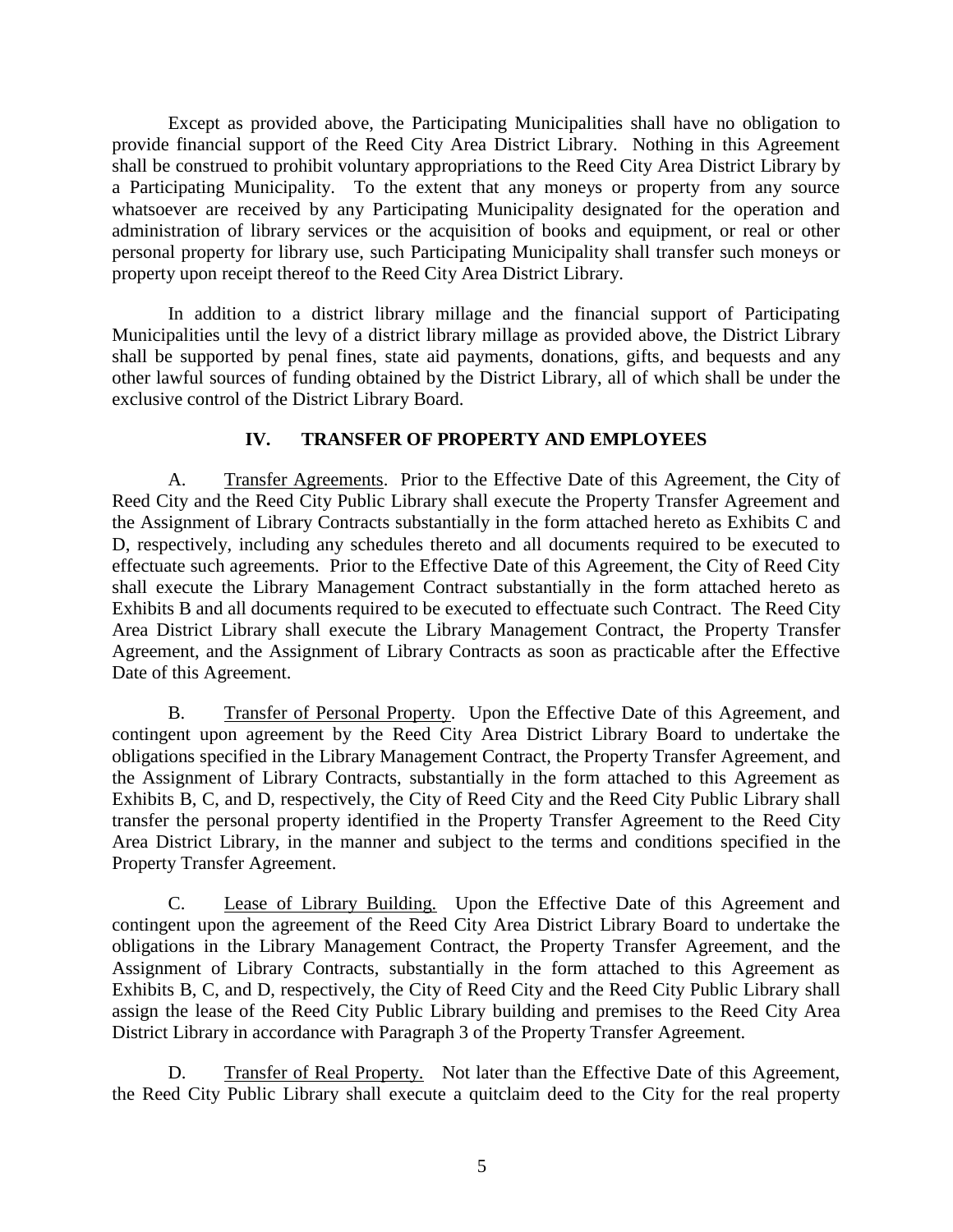Except as provided above, the Participating Municipalities shall have no obligation to provide financial support of the Reed City Area District Library. Nothing in this Agreement shall be construed to prohibit voluntary appropriations to the Reed City Area District Library by a Participating Municipality. To the extent that any moneys or property from any source whatsoever are received by any Participating Municipality designated for the operation and administration of library services or the acquisition of books and equipment, or real or other personal property for library use, such Participating Municipality shall transfer such moneys or property upon receipt thereof to the Reed City Area District Library.

In addition to a district library millage and the financial support of Participating Municipalities until the levy of a district library millage as provided above, the District Library shall be supported by penal fines, state aid payments, donations, gifts, and bequests and any other lawful sources of funding obtained by the District Library, all of which shall be under the exclusive control of the District Library Board.

## **IV. TRANSFER OF PROPERTY AND EMPLOYEES**

A. Transfer Agreements. Prior to the Effective Date of this Agreement, the City of Reed City and the Reed City Public Library shall execute the Property Transfer Agreement and the Assignment of Library Contracts substantially in the form attached hereto as Exhibits C and D, respectively, including any schedules thereto and all documents required to be executed to effectuate such agreements. Prior to the Effective Date of this Agreement, the City of Reed City shall execute the Library Management Contract substantially in the form attached hereto as Exhibits B and all documents required to be executed to effectuate such Contract. The Reed City Area District Library shall execute the Library Management Contract, the Property Transfer Agreement, and the Assignment of Library Contracts as soon as practicable after the Effective Date of this Agreement.

B. Transfer of Personal Property. Upon the Effective Date of this Agreement, and contingent upon agreement by the Reed City Area District Library Board to undertake the obligations specified in the Library Management Contract, the Property Transfer Agreement, and the Assignment of Library Contracts, substantially in the form attached to this Agreement as Exhibits B, C, and D, respectively, the City of Reed City and the Reed City Public Library shall transfer the personal property identified in the Property Transfer Agreement to the Reed City Area District Library, in the manner and subject to the terms and conditions specified in the Property Transfer Agreement.

C. Lease of Library Building. Upon the Effective Date of this Agreement and contingent upon the agreement of the Reed City Area District Library Board to undertake the obligations in the Library Management Contract, the Property Transfer Agreement, and the Assignment of Library Contracts, substantially in the form attached to this Agreement as Exhibits B, C, and D, respectively, the City of Reed City and the Reed City Public Library shall assign the lease of the Reed City Public Library building and premises to the Reed City Area District Library in accordance with Paragraph 3 of the Property Transfer Agreement.

D. Transfer of Real Property. Not later than the Effective Date of this Agreement, the Reed City Public Library shall execute a quitclaim deed to the City for the real property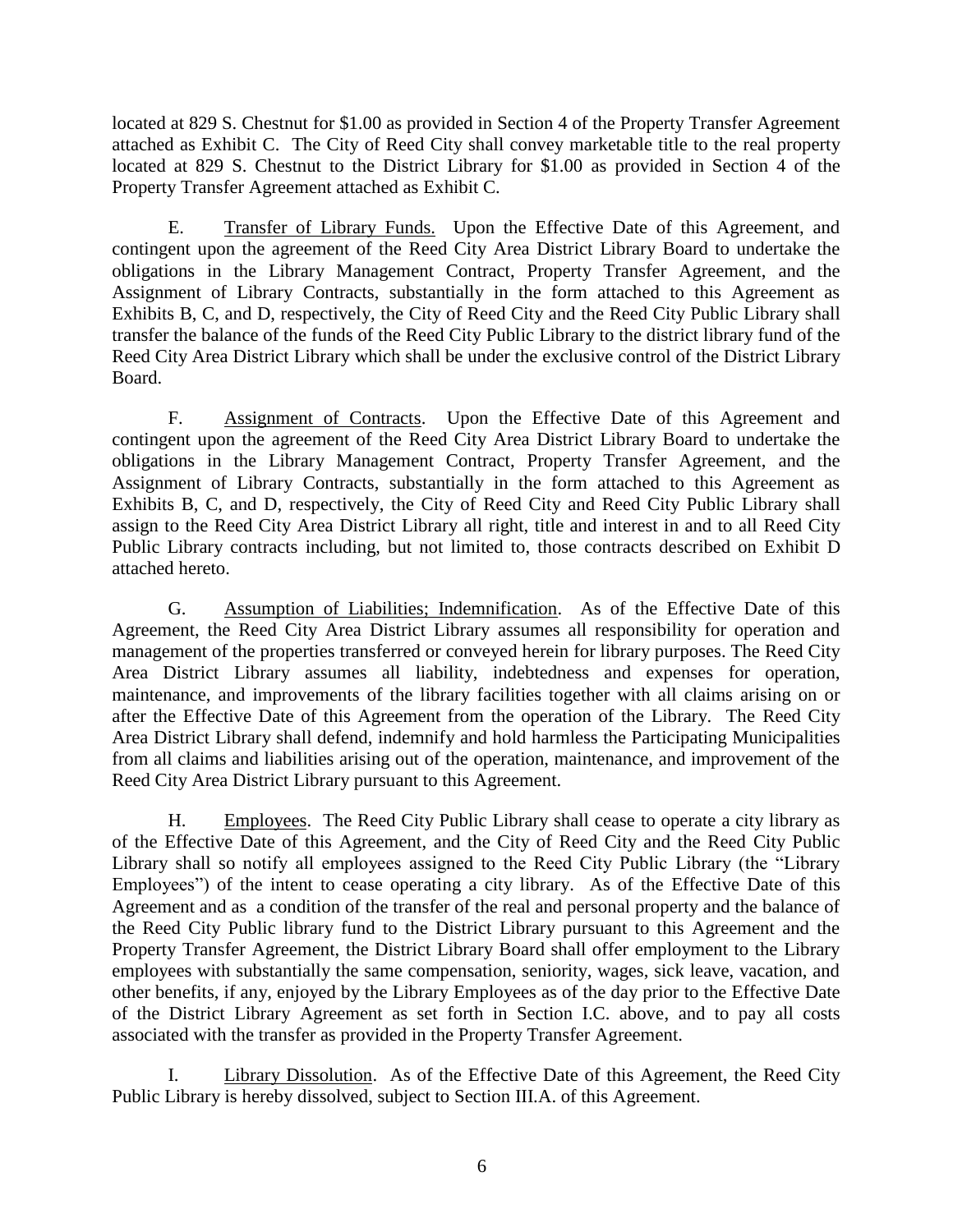located at 829 S. Chestnut for \$1.00 as provided in Section 4 of the Property Transfer Agreement attached as Exhibit C. The City of Reed City shall convey marketable title to the real property located at 829 S. Chestnut to the District Library for \$1.00 as provided in Section 4 of the Property Transfer Agreement attached as Exhibit C.

E. Transfer of Library Funds. Upon the Effective Date of this Agreement, and contingent upon the agreement of the Reed City Area District Library Board to undertake the obligations in the Library Management Contract, Property Transfer Agreement, and the Assignment of Library Contracts, substantially in the form attached to this Agreement as Exhibits B, C, and D, respectively, the City of Reed City and the Reed City Public Library shall transfer the balance of the funds of the Reed City Public Library to the district library fund of the Reed City Area District Library which shall be under the exclusive control of the District Library Board.

F. Assignment of Contracts. Upon the Effective Date of this Agreement and contingent upon the agreement of the Reed City Area District Library Board to undertake the obligations in the Library Management Contract, Property Transfer Agreement, and the Assignment of Library Contracts, substantially in the form attached to this Agreement as Exhibits B, C, and D, respectively, the City of Reed City and Reed City Public Library shall assign to the Reed City Area District Library all right, title and interest in and to all Reed City Public Library contracts including, but not limited to, those contracts described on Exhibit D attached hereto.

G. Assumption of Liabilities; Indemnification. As of the Effective Date of this Agreement, the Reed City Area District Library assumes all responsibility for operation and management of the properties transferred or conveyed herein for library purposes. The Reed City Area District Library assumes all liability, indebtedness and expenses for operation, maintenance, and improvements of the library facilities together with all claims arising on or after the Effective Date of this Agreement from the operation of the Library. The Reed City Area District Library shall defend, indemnify and hold harmless the Participating Municipalities from all claims and liabilities arising out of the operation, maintenance, and improvement of the Reed City Area District Library pursuant to this Agreement.

H. Employees. The Reed City Public Library shall cease to operate a city library as of the Effective Date of this Agreement, and the City of Reed City and the Reed City Public Library shall so notify all employees assigned to the Reed City Public Library (the "Library Employees") of the intent to cease operating a city library. As of the Effective Date of this Agreement and as a condition of the transfer of the real and personal property and the balance of the Reed City Public library fund to the District Library pursuant to this Agreement and the Property Transfer Agreement, the District Library Board shall offer employment to the Library employees with substantially the same compensation, seniority, wages, sick leave, vacation, and other benefits, if any, enjoyed by the Library Employees as of the day prior to the Effective Date of the District Library Agreement as set forth in Section I.C. above, and to pay all costs associated with the transfer as provided in the Property Transfer Agreement.

I. Library Dissolution. As of the Effective Date of this Agreement, the Reed City Public Library is hereby dissolved, subject to Section III.A. of this Agreement.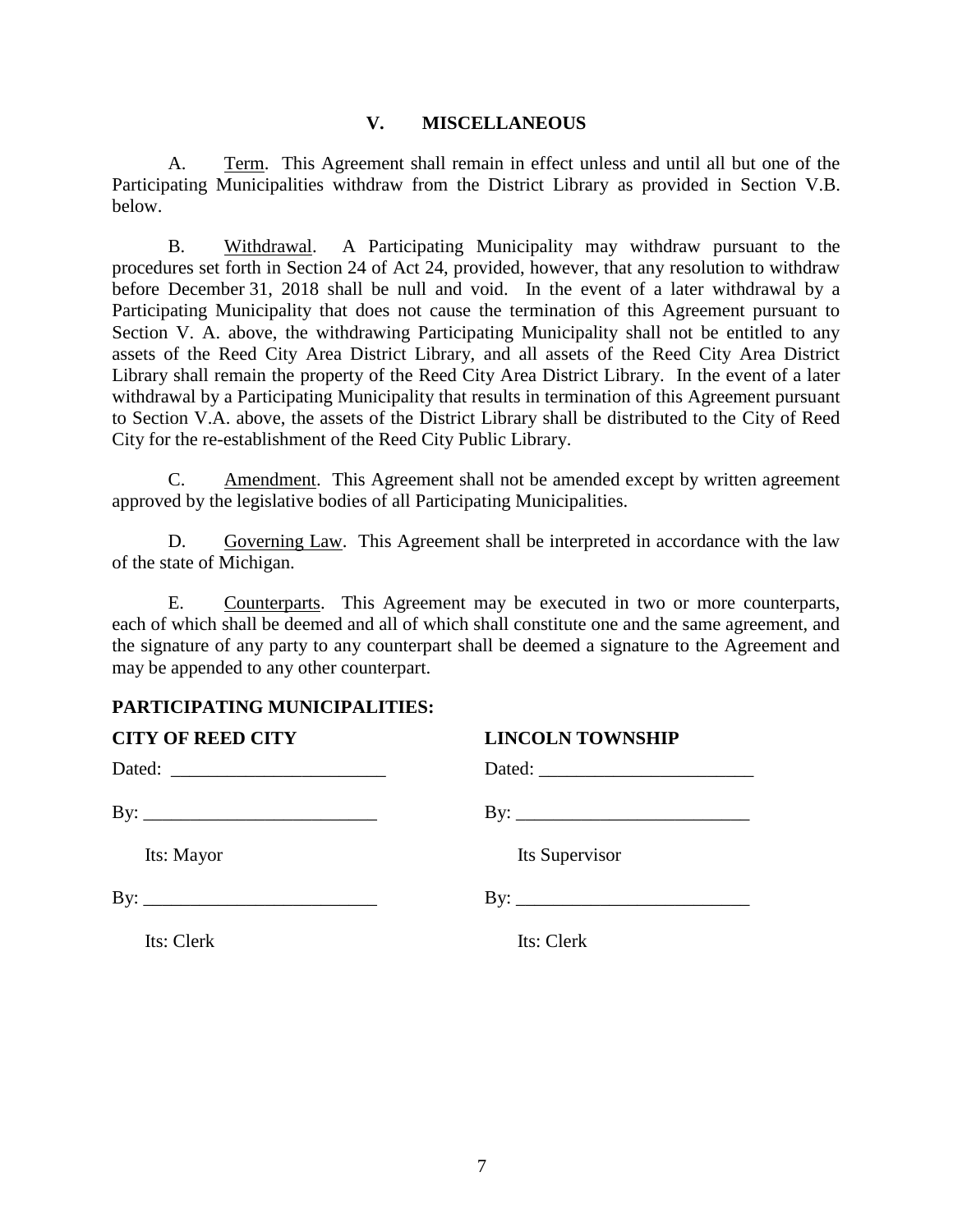#### **V. MISCELLANEOUS**

A. Term. This Agreement shall remain in effect unless and until all but one of the Participating Municipalities withdraw from the District Library as provided in Section V.B. below.

B. Withdrawal. A Participating Municipality may withdraw pursuant to the procedures set forth in Section 24 of Act 24, provided, however, that any resolution to withdraw before December 31, 2018 shall be null and void. In the event of a later withdrawal by a Participating Municipality that does not cause the termination of this Agreement pursuant to Section V. A. above, the withdrawing Participating Municipality shall not be entitled to any assets of the Reed City Area District Library, and all assets of the Reed City Area District Library shall remain the property of the Reed City Area District Library. In the event of a later withdrawal by a Participating Municipality that results in termination of this Agreement pursuant to Section V.A. above, the assets of the District Library shall be distributed to the City of Reed City for the re-establishment of the Reed City Public Library.

C. Amendment. This Agreement shall not be amended except by written agreement approved by the legislative bodies of all Participating Municipalities.

D. Governing Law. This Agreement shall be interpreted in accordance with the law of the state of Michigan.

E. Counterparts. This Agreement may be executed in two or more counterparts, each of which shall be deemed and all of which shall constitute one and the same agreement, and the signature of any party to any counterpart shall be deemed a signature to the Agreement and may be appended to any other counterpart.

## **PARTICIPATING MUNICIPALITIES:**

| <b>CITY OF REED CITY</b> | <b>LINCOLN TOWNSHIP</b> |  |
|--------------------------|-------------------------|--|
|                          |                         |  |
|                          |                         |  |
| Its: Mayor               | Its Supervisor          |  |
|                          |                         |  |
| Its: Clerk               | Its: Clerk              |  |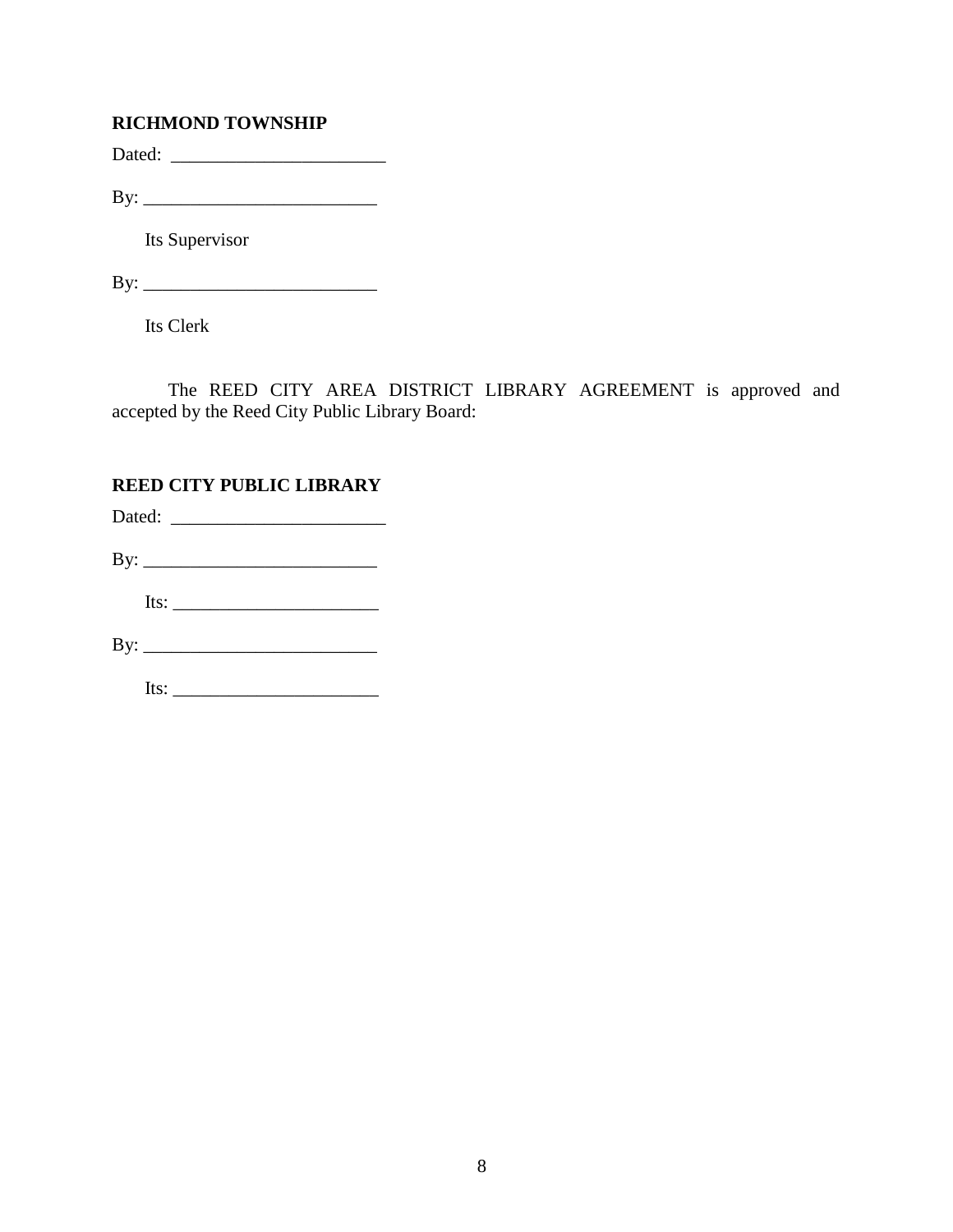## **RICHMOND TOWNSHIP**

Dated: \_\_\_\_\_\_\_\_\_\_\_\_\_\_\_\_\_\_\_\_\_\_\_

By: \_\_\_\_\_\_\_\_\_\_\_\_\_\_\_\_\_\_\_\_\_\_\_\_\_

Its Supervisor

By: \_\_\_\_\_\_\_\_\_\_\_\_\_\_\_\_\_\_\_\_\_\_\_\_\_

Its Clerk

The REED CITY AREA DISTRICT LIBRARY AGREEMENT is approved and accepted by the Reed City Public Library Board:

## **REED CITY PUBLIC LIBRARY**

| Its: $\frac{1}{\sqrt{1-\frac{1}{2}}\sqrt{1-\frac{1}{2}}\sqrt{1-\frac{1}{2}}\sqrt{1-\frac{1}{2}}\sqrt{1-\frac{1}{2}}\sqrt{1-\frac{1}{2}}\sqrt{1-\frac{1}{2}}\sqrt{1-\frac{1}{2}}\sqrt{1-\frac{1}{2}}\sqrt{1-\frac{1}{2}}\sqrt{1-\frac{1}{2}}\sqrt{1-\frac{1}{2}}\sqrt{1-\frac{1}{2}}\sqrt{1-\frac{1}{2}}\sqrt{1-\frac{1}{2}}\sqrt{1-\frac{1}{2}}\sqrt{1-\frac{1}{2}}\sqrt{1-\frac{1}{2}}\sqrt{1-\frac{1}{2}}\$ |  |
|---------------------------------------------------------------------------------------------------------------------------------------------------------------------------------------------------------------------------------------------------------------------------------------------------------------------------------------------------------------------------------------------------------------|--|
|                                                                                                                                                                                                                                                                                                                                                                                                               |  |
|                                                                                                                                                                                                                                                                                                                                                                                                               |  |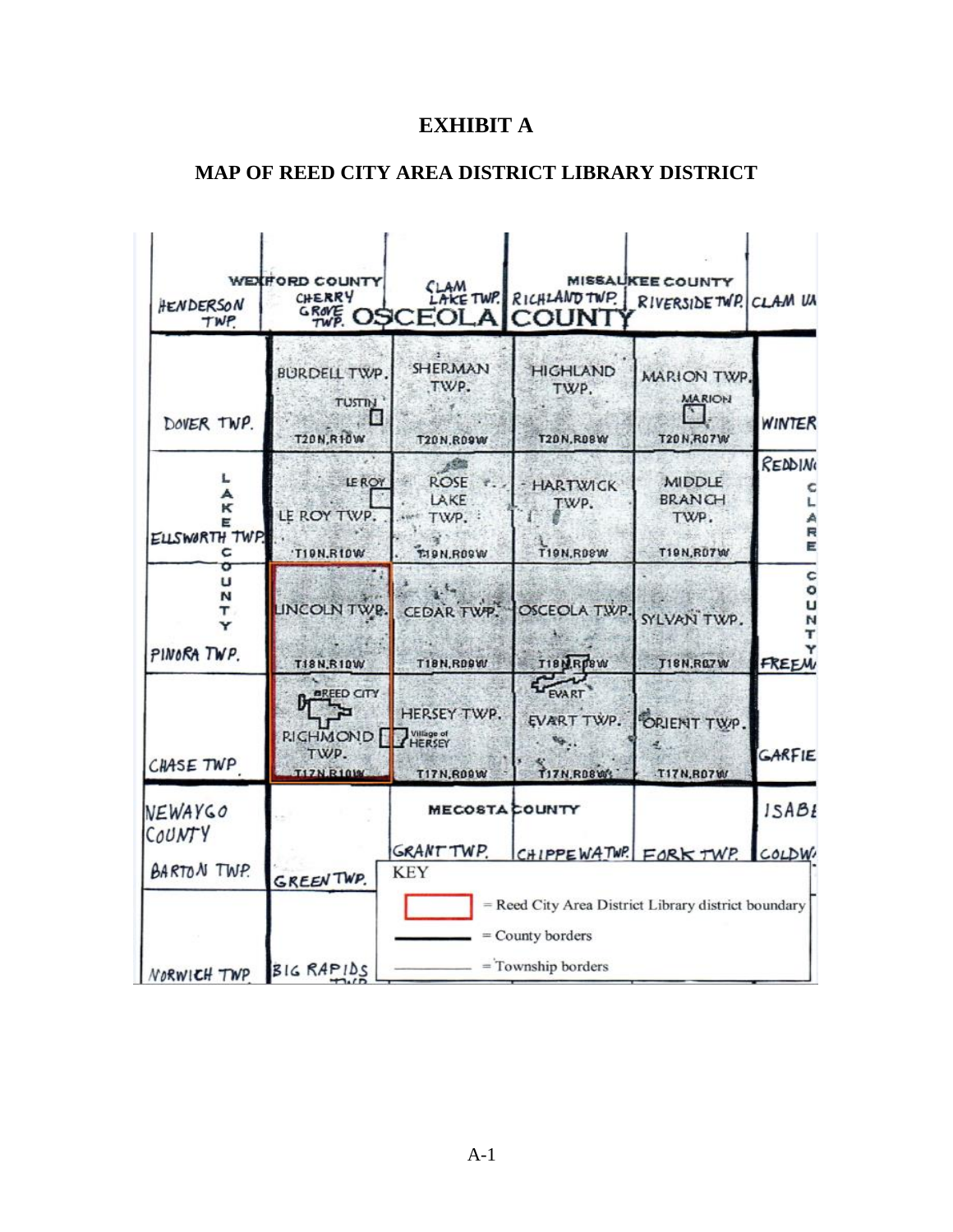# **EXHIBIT A**

# **MAP OF REED CITY AREA DISTRICT LIBRARY DISTRICT**

| HENDERSON<br>TWP.                       | WEXFORD COUNTY<br>CHERRY                                          | <b>"<i>哪</i> OSCEOLA COUNT</b>                          | LAM TWP. RICHLAND TWP.                                                                        | <b>MISSAUKEE COUNTY</b><br>RIVERSIDE TWP. CLAM UN          |                      |
|-----------------------------------------|-------------------------------------------------------------------|---------------------------------------------------------|-----------------------------------------------------------------------------------------------|------------------------------------------------------------|----------------------|
| DOVER TWP.                              | <b>BURDELL TWP</b><br><b>TUSTIN</b><br>展<br><b>T20N,R10W</b>      | <b>SHERMAN</b><br>TWP.<br><b>T20N,R09W</b>              | <b>HIGHLAND</b><br>TWP.<br><b>T20N, R08W</b>                                                  | MARION TWP<br><b>MARION</b><br><b>T20N,R07W</b>            | WINTER               |
| L<br>A<br>к<br>E<br>ELLSWORTH TWP.<br>c | <b>LE ROY</b><br>LE ROY TWP.<br>'TION.RIOW                        | ROSE<br>LAKE<br>TWP.<br>LEAR!<br><b>TI9N,R09W</b>       | <b>HARTWICK</b><br>TWP.<br><b>T19N,R08W</b>                                                   | <b>MIDDLE</b><br><b>BRANCH</b><br>TWP.<br><b>T19N,R07W</b> | READING<br>E         |
| o<br>U<br>N<br>т<br>Y<br>PINORA TWP.    | T18N,R10W                                                         | LINCOLN TWP. CEDAR TWP.<br><b>T18N, RD9W</b>            | OSCEOLA TWP.<br>T18NRp8W                                                                      | SYLVAN TWP.<br><b>T18N,RG7W</b>                            | c<br>۰<br>u<br>FREEM |
| CHASE TWP                               | <b>AREED CITY</b><br><b>RICHMOND</b><br>TWP.<br><b>T17N.R10WW</b> | HERSEY TWP.<br>Village of<br>HERSEY<br><b>T17N,R09W</b> | EVART<br>T17N, RD8W                                                                           | EVART TWP. ORIENT TWP.<br>T17N, R07W                       | GARFIE               |
| NEWAYGO                                 |                                                                   | <b>MECOSTA COUNTY</b>                                   |                                                                                               |                                                            | ISABI                |
| COUNTY<br><b>BARTON TWP.</b>            | <b>GREEN TWP.</b>                                                 | GRANT TWP.<br><b>KEY</b>                                | CHIPPEWATWP. FORKTWP.                                                                         |                                                            | COLDW.               |
| NORWICH TWP                             | BIG RAPIDS                                                        |                                                         | = Reed City Area District Library district boundary<br>= County borders<br>= Township borders |                                                            |                      |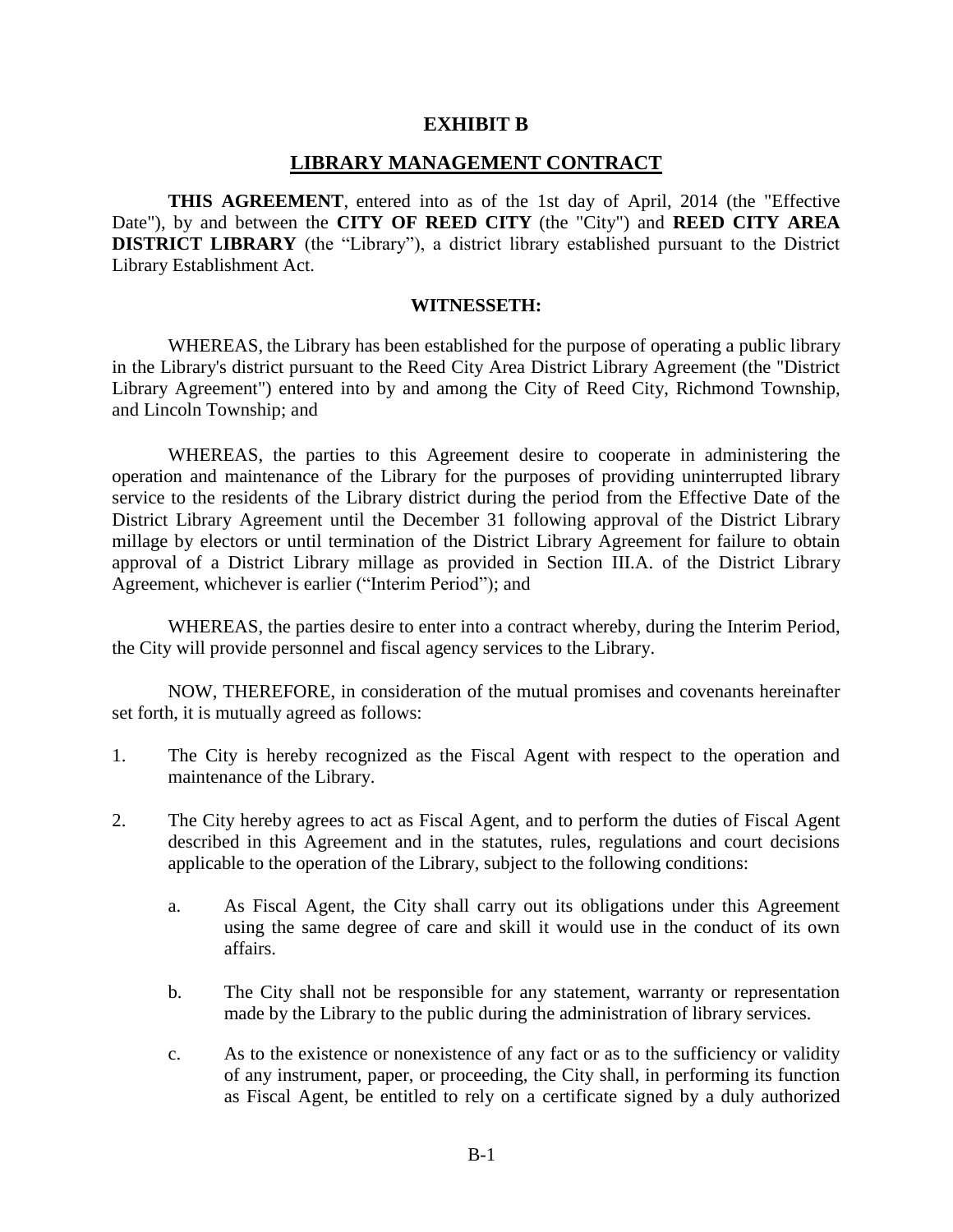#### **EXHIBIT B**

#### **LIBRARY MANAGEMENT CONTRACT**

**THIS AGREEMENT**, entered into as of the 1st day of April, 2014 (the "Effective Date"), by and between the **CITY OF REED CITY** (the "City") and **REED CITY AREA DISTRICT LIBRARY** (the "Library"), a district library established pursuant to the District Library Establishment Act.

#### **WITNESSETH:**

WHEREAS, the Library has been established for the purpose of operating a public library in the Library's district pursuant to the Reed City Area District Library Agreement (the "District Library Agreement") entered into by and among the City of Reed City, Richmond Township, and Lincoln Township; and

WHEREAS, the parties to this Agreement desire to cooperate in administering the operation and maintenance of the Library for the purposes of providing uninterrupted library service to the residents of the Library district during the period from the Effective Date of the District Library Agreement until the December 31 following approval of the District Library millage by electors or until termination of the District Library Agreement for failure to obtain approval of a District Library millage as provided in Section III.A. of the District Library Agreement, whichever is earlier ("Interim Period"); and

WHEREAS, the parties desire to enter into a contract whereby, during the Interim Period, the City will provide personnel and fiscal agency services to the Library.

NOW, THEREFORE, in consideration of the mutual promises and covenants hereinafter set forth, it is mutually agreed as follows:

- 1. The City is hereby recognized as the Fiscal Agent with respect to the operation and maintenance of the Library.
- 2. The City hereby agrees to act as Fiscal Agent, and to perform the duties of Fiscal Agent described in this Agreement and in the statutes, rules, regulations and court decisions applicable to the operation of the Library, subject to the following conditions:
	- a. As Fiscal Agent, the City shall carry out its obligations under this Agreement using the same degree of care and skill it would use in the conduct of its own affairs.
	- b. The City shall not be responsible for any statement, warranty or representation made by the Library to the public during the administration of library services.
	- c. As to the existence or nonexistence of any fact or as to the sufficiency or validity of any instrument, paper, or proceeding, the City shall, in performing its function as Fiscal Agent, be entitled to rely on a certificate signed by a duly authorized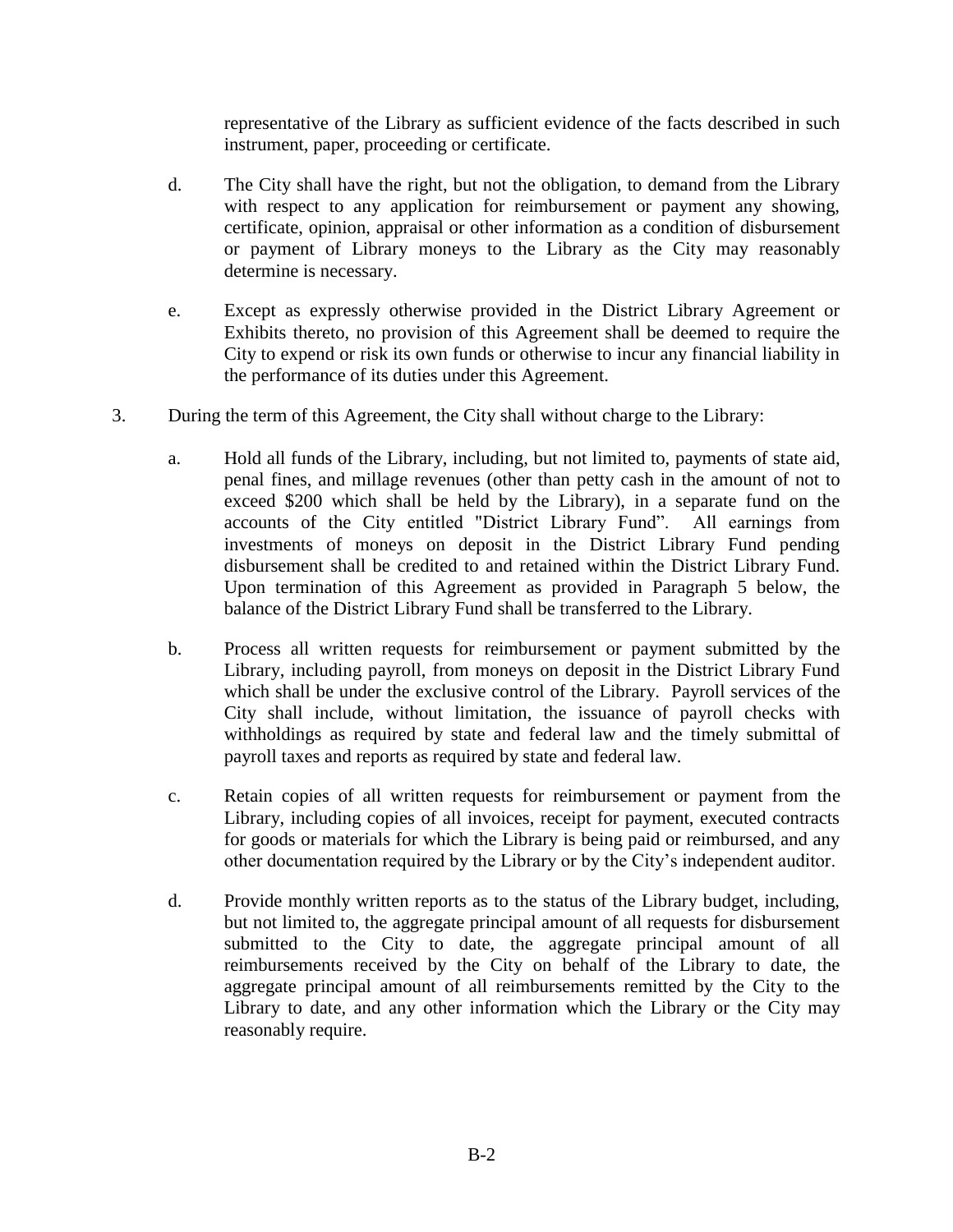representative of the Library as sufficient evidence of the facts described in such instrument, paper, proceeding or certificate.

- d. The City shall have the right, but not the obligation, to demand from the Library with respect to any application for reimbursement or payment any showing, certificate, opinion, appraisal or other information as a condition of disbursement or payment of Library moneys to the Library as the City may reasonably determine is necessary.
- e. Except as expressly otherwise provided in the District Library Agreement or Exhibits thereto, no provision of this Agreement shall be deemed to require the City to expend or risk its own funds or otherwise to incur any financial liability in the performance of its duties under this Agreement.
- 3. During the term of this Agreement, the City shall without charge to the Library:
	- a. Hold all funds of the Library, including, but not limited to, payments of state aid, penal fines, and millage revenues (other than petty cash in the amount of not to exceed \$200 which shall be held by the Library), in a separate fund on the accounts of the City entitled "District Library Fund". All earnings from investments of moneys on deposit in the District Library Fund pending disbursement shall be credited to and retained within the District Library Fund. Upon termination of this Agreement as provided in Paragraph 5 below, the balance of the District Library Fund shall be transferred to the Library.
	- b. Process all written requests for reimbursement or payment submitted by the Library, including payroll, from moneys on deposit in the District Library Fund which shall be under the exclusive control of the Library. Payroll services of the City shall include, without limitation, the issuance of payroll checks with withholdings as required by state and federal law and the timely submittal of payroll taxes and reports as required by state and federal law.
	- c. Retain copies of all written requests for reimbursement or payment from the Library, including copies of all invoices, receipt for payment, executed contracts for goods or materials for which the Library is being paid or reimbursed, and any other documentation required by the Library or by the City's independent auditor.
	- d. Provide monthly written reports as to the status of the Library budget, including, but not limited to, the aggregate principal amount of all requests for disbursement submitted to the City to date, the aggregate principal amount of all reimbursements received by the City on behalf of the Library to date, the aggregate principal amount of all reimbursements remitted by the City to the Library to date, and any other information which the Library or the City may reasonably require.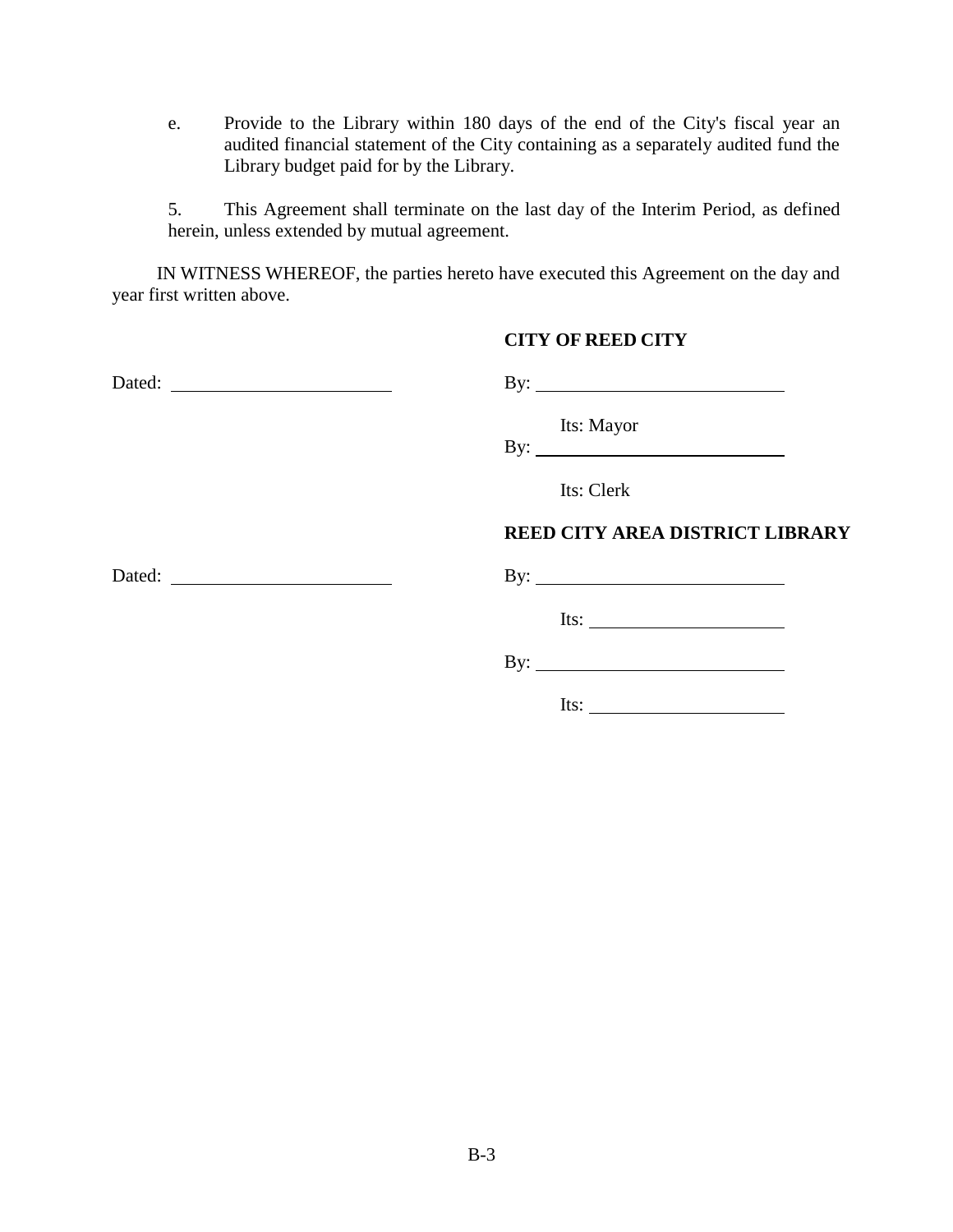e. Provide to the Library within 180 days of the end of the City's fiscal year an audited financial statement of the City containing as a separately audited fund the Library budget paid for by the Library.

5. This Agreement shall terminate on the last day of the Interim Period, as defined herein, unless extended by mutual agreement.

IN WITNESS WHEREOF, the parties hereto have executed this Agreement on the day and year first written above.

#### **CITY OF REED CITY**

|  | Its: Mayor<br>By: $\qquad \qquad$      |
|--|----------------------------------------|
|  | Its: Clerk                             |
|  | <b>REED CITY AREA DISTRICT LIBRARY</b> |
|  | By: $\overline{\phantom{a}}$           |
|  | Its: $\qquad \qquad$                   |
|  | By: $\overline{\phantom{a}}$           |
|  | Its: $\qquad \qquad$                   |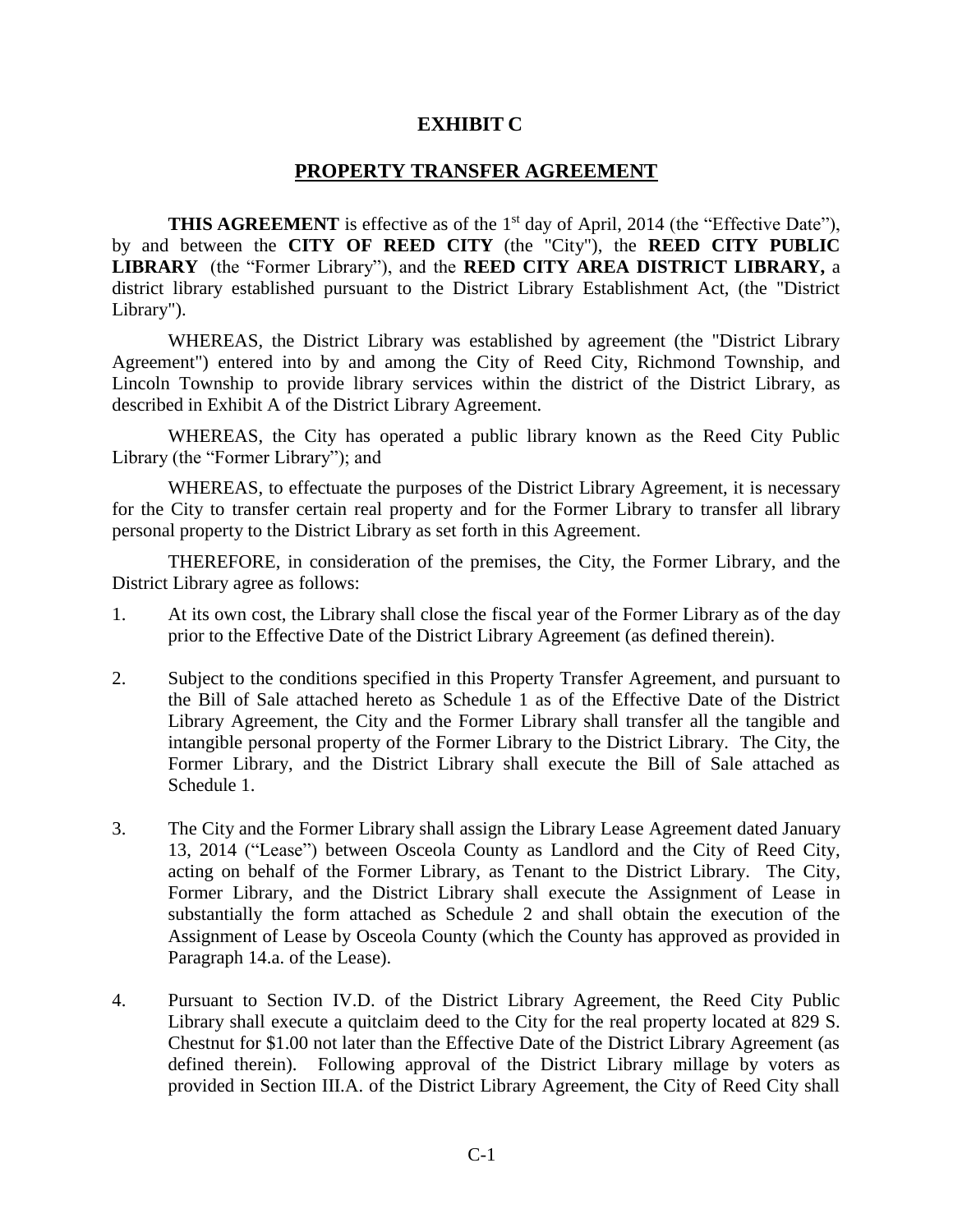## **EXHIBIT C**

## **PROPERTY TRANSFER AGREEMENT**

**THIS AGREEMENT** is effective as of the 1<sup>st</sup> day of April, 2014 (the "Effective Date"), by and between the **CITY OF REED CITY** (the "City"), the **REED CITY PUBLIC LIBRARY** (the "Former Library"), and the **REED CITY AREA DISTRICT LIBRARY,** a district library established pursuant to the District Library Establishment Act, (the "District Library").

WHEREAS, the District Library was established by agreement (the "District Library Agreement") entered into by and among the City of Reed City, Richmond Township, and Lincoln Township to provide library services within the district of the District Library, as described in Exhibit A of the District Library Agreement.

WHEREAS, the City has operated a public library known as the Reed City Public Library (the "Former Library"); and

WHEREAS, to effectuate the purposes of the District Library Agreement, it is necessary for the City to transfer certain real property and for the Former Library to transfer all library personal property to the District Library as set forth in this Agreement.

THEREFORE, in consideration of the premises, the City, the Former Library, and the District Library agree as follows:

- 1. At its own cost, the Library shall close the fiscal year of the Former Library as of the day prior to the Effective Date of the District Library Agreement (as defined therein).
- 2. Subject to the conditions specified in this Property Transfer Agreement, and pursuant to the Bill of Sale attached hereto as Schedule 1 as of the Effective Date of the District Library Agreement, the City and the Former Library shall transfer all the tangible and intangible personal property of the Former Library to the District Library. The City, the Former Library, and the District Library shall execute the Bill of Sale attached as Schedule 1.
- 3. The City and the Former Library shall assign the Library Lease Agreement dated January 13, 2014 ("Lease") between Osceola County as Landlord and the City of Reed City, acting on behalf of the Former Library, as Tenant to the District Library. The City, Former Library, and the District Library shall execute the Assignment of Lease in substantially the form attached as Schedule 2 and shall obtain the execution of the Assignment of Lease by Osceola County (which the County has approved as provided in Paragraph 14.a. of the Lease).
- 4. Pursuant to Section IV.D. of the District Library Agreement, the Reed City Public Library shall execute a quitclaim deed to the City for the real property located at 829 S. Chestnut for \$1.00 not later than the Effective Date of the District Library Agreement (as defined therein). Following approval of the District Library millage by voters as provided in Section III.A. of the District Library Agreement, the City of Reed City shall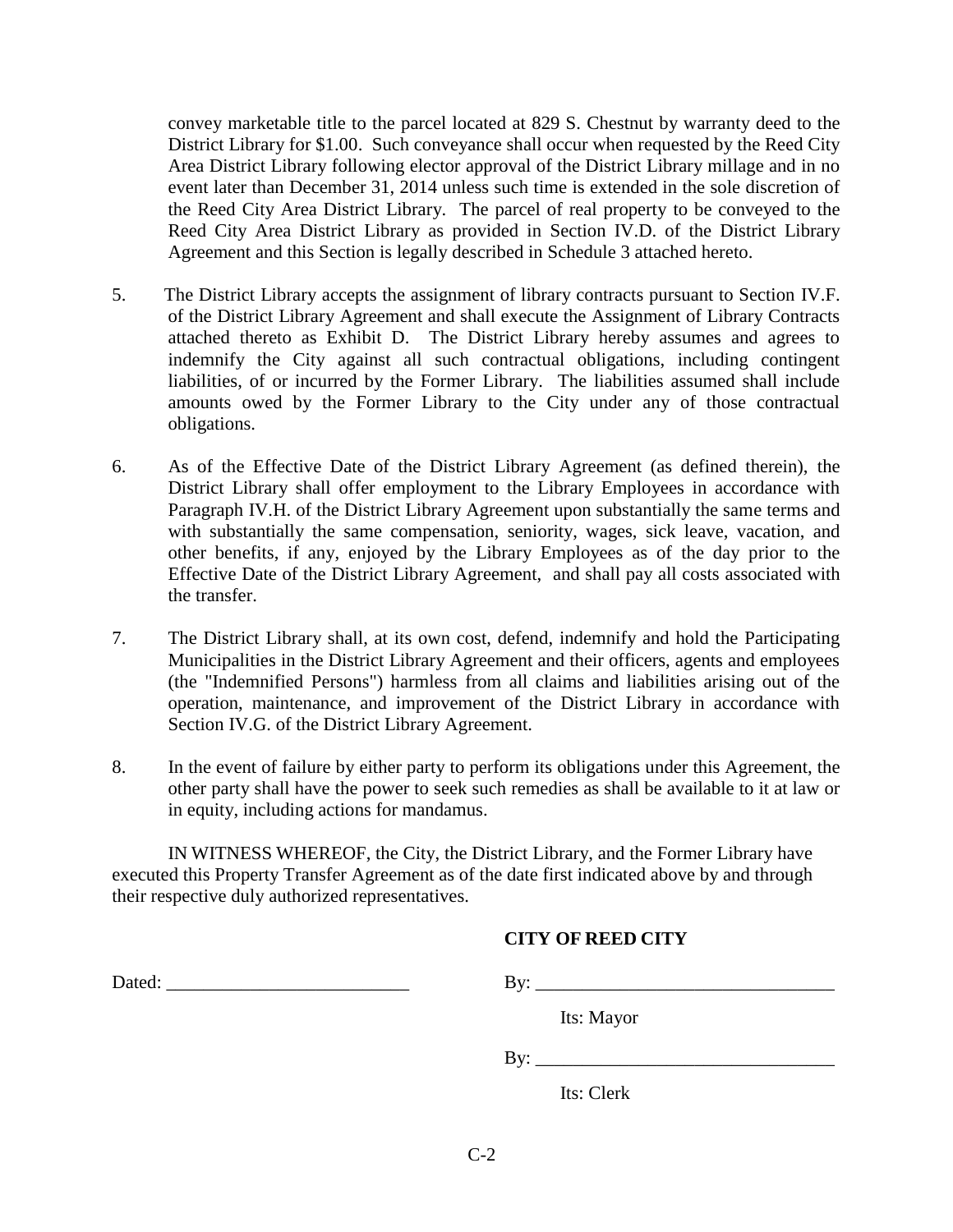convey marketable title to the parcel located at 829 S. Chestnut by warranty deed to the District Library for \$1.00. Such conveyance shall occur when requested by the Reed City Area District Library following elector approval of the District Library millage and in no event later than December 31, 2014 unless such time is extended in the sole discretion of the Reed City Area District Library. The parcel of real property to be conveyed to the Reed City Area District Library as provided in Section IV.D. of the District Library Agreement and this Section is legally described in Schedule 3 attached hereto.

- 5. The District Library accepts the assignment of library contracts pursuant to Section IV.F. of the District Library Agreement and shall execute the Assignment of Library Contracts attached thereto as Exhibit D. The District Library hereby assumes and agrees to indemnify the City against all such contractual obligations, including contingent liabilities, of or incurred by the Former Library. The liabilities assumed shall include amounts owed by the Former Library to the City under any of those contractual obligations.
- 6. As of the Effective Date of the District Library Agreement (as defined therein), the District Library shall offer employment to the Library Employees in accordance with Paragraph IV.H. of the District Library Agreement upon substantially the same terms and with substantially the same compensation, seniority, wages, sick leave, vacation, and other benefits, if any, enjoyed by the Library Employees as of the day prior to the Effective Date of the District Library Agreement, and shall pay all costs associated with the transfer.
- 7. The District Library shall, at its own cost, defend, indemnify and hold the Participating Municipalities in the District Library Agreement and their officers, agents and employees (the "Indemnified Persons") harmless from all claims and liabilities arising out of the operation, maintenance, and improvement of the District Library in accordance with Section IV.G. of the District Library Agreement.
- 8. In the event of failure by either party to perform its obligations under this Agreement, the other party shall have the power to seek such remedies as shall be available to it at law or in equity, including actions for mandamus.

IN WITNESS WHEREOF, the City, the District Library, and the Former Library have executed this Property Transfer Agreement as of the date first indicated above by and through their respective duly authorized representatives.

#### **CITY OF REED CITY**

Dated: \_\_\_\_\_\_\_\_\_\_\_\_\_\_\_\_\_\_\_\_\_\_\_\_\_\_ By: \_\_\_\_\_\_\_\_\_\_\_\_\_\_\_\_\_\_\_\_\_\_\_\_\_\_\_\_\_\_\_\_

Its: Mayor

 $\mathbf{B} \mathbf{y}$ :

Its: Clerk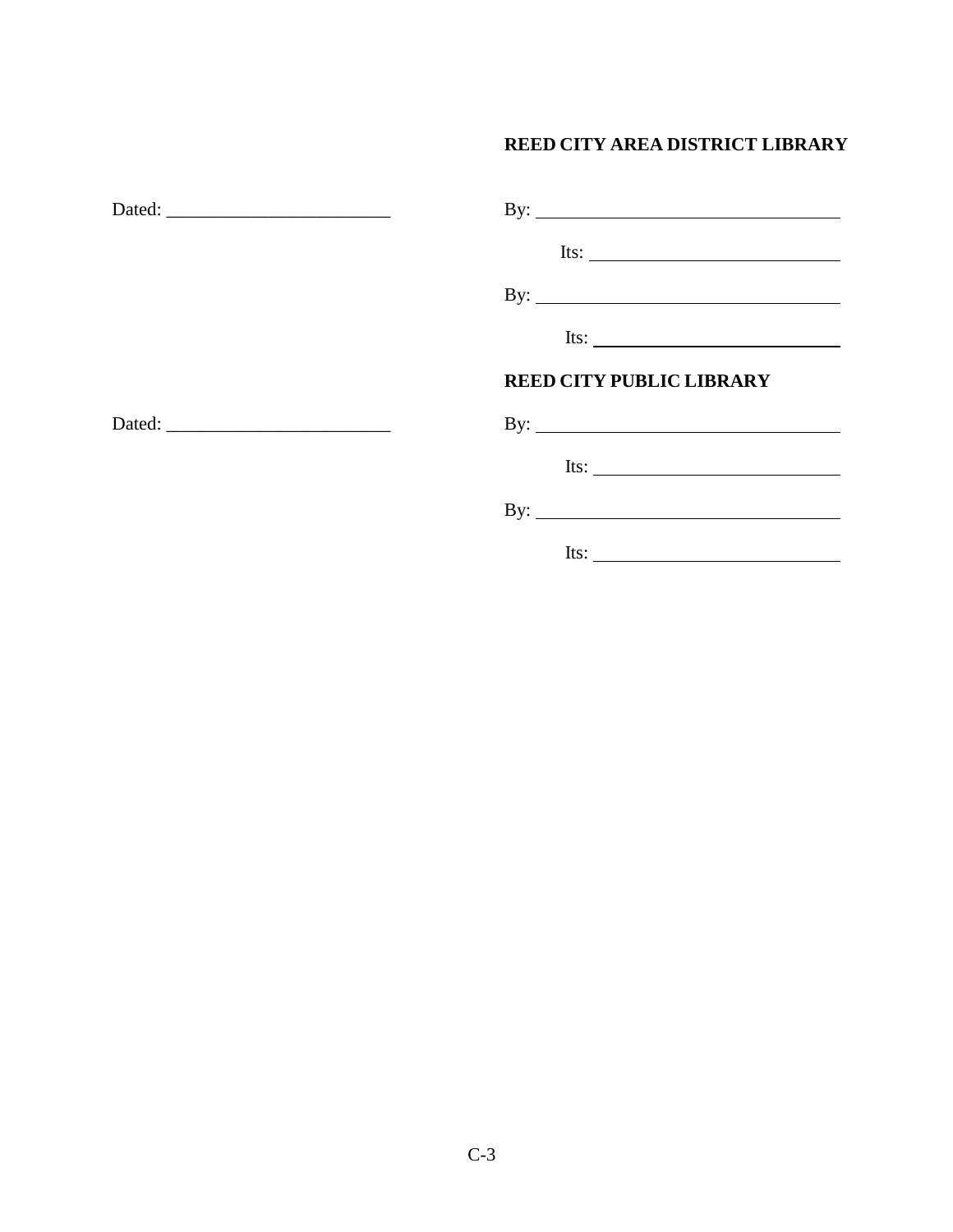## **REED CITY AREA DISTRICT LIBRARY**

| By: $\qquad \qquad$                                     |
|---------------------------------------------------------|
| Its: $\qquad \qquad$                                    |
| By: $\qquad \qquad$                                     |
| Its: $\qquad \qquad$                                    |
| <b>REED CITY PUBLIC LIBRARY</b>                         |
|                                                         |
| Its: $\qquad \qquad$                                    |
|                                                         |
| Its: $\frac{1}{\sqrt{1-\frac{1}{2}} \cdot \frac{1}{2}}$ |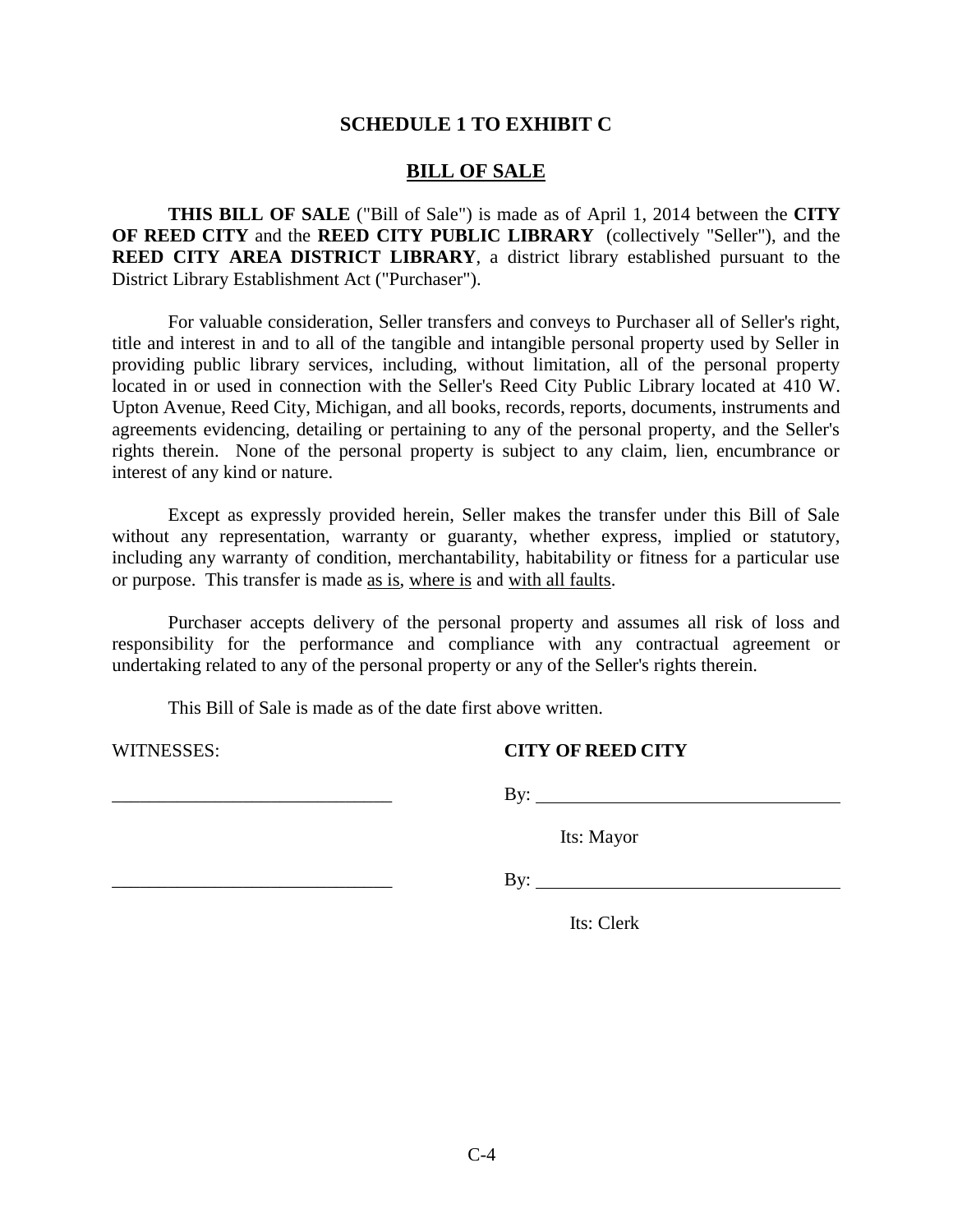## **SCHEDULE 1 TO EXHIBIT C**

#### **BILL OF SALE**

**THIS BILL OF SALE** ("Bill of Sale") is made as of April 1, 2014 between the **CITY OF REED CITY** and the **REED CITY PUBLIC LIBRARY** (collectively "Seller"), and the **REED CITY AREA DISTRICT LIBRARY**, a district library established pursuant to the District Library Establishment Act ("Purchaser").

For valuable consideration, Seller transfers and conveys to Purchaser all of Seller's right, title and interest in and to all of the tangible and intangible personal property used by Seller in providing public library services, including, without limitation, all of the personal property located in or used in connection with the Seller's Reed City Public Library located at 410 W. Upton Avenue, Reed City, Michigan, and all books, records, reports, documents, instruments and agreements evidencing, detailing or pertaining to any of the personal property, and the Seller's rights therein. None of the personal property is subject to any claim, lien, encumbrance or interest of any kind or nature.

Except as expressly provided herein, Seller makes the transfer under this Bill of Sale without any representation, warranty or guaranty, whether express, implied or statutory, including any warranty of condition, merchantability, habitability or fitness for a particular use or purpose. This transfer is made as is, where is and with all faults.

Purchaser accepts delivery of the personal property and assumes all risk of loss and responsibility for the performance and compliance with any contractual agreement or undertaking related to any of the personal property or any of the Seller's rights therein.

This Bill of Sale is made as of the date first above written.

#### WITNESSES: **CITY OF REED CITY**

\_\_\_\_\_\_\_\_\_\_\_\_\_\_\_\_\_\_\_\_\_\_\_\_\_\_\_\_\_\_ By:

Its: Mayor

 $\Box$  By:

Its: Clerk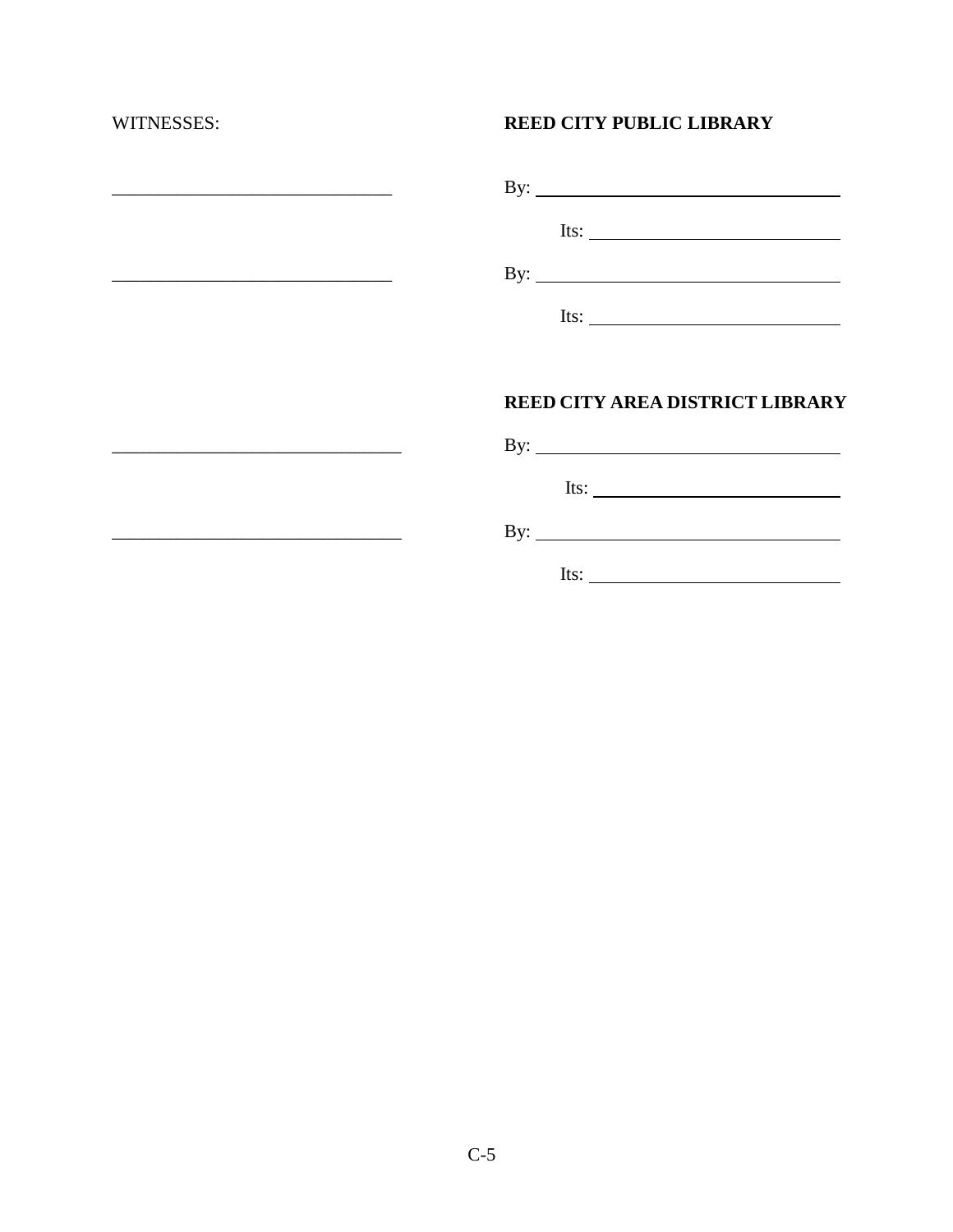$\overline{\phantom{a}}$  ,  $\overline{\phantom{a}}$  ,  $\overline{\phantom{a}}$  ,  $\overline{\phantom{a}}$  ,  $\overline{\phantom{a}}$  ,  $\overline{\phantom{a}}$  ,  $\overline{\phantom{a}}$  ,  $\overline{\phantom{a}}$  ,  $\overline{\phantom{a}}$  ,  $\overline{\phantom{a}}$  ,  $\overline{\phantom{a}}$  ,  $\overline{\phantom{a}}$  ,  $\overline{\phantom{a}}$  ,  $\overline{\phantom{a}}$  ,  $\overline{\phantom{a}}$  ,  $\overline{\phantom{a}}$ 

 $\mathcal{L}_\text{max}$  and  $\mathcal{L}_\text{max}$  and  $\mathcal{L}_\text{max}$  and  $\mathcal{L}_\text{max}$ 

## WITNESSES: **REED CITY PUBLIC LIBRARY**

| By: $\qquad \qquad$  |
|----------------------|
| Its: $\qquad \qquad$ |
| $\mathbf{By:}$       |
| Its:                 |

## **REED CITY AREA DISTRICT LIBRARY**

|     | By: $\qquad \qquad$ |
|-----|---------------------|
|     | Its:                |
| By: |                     |

Its:  $\qquad \qquad$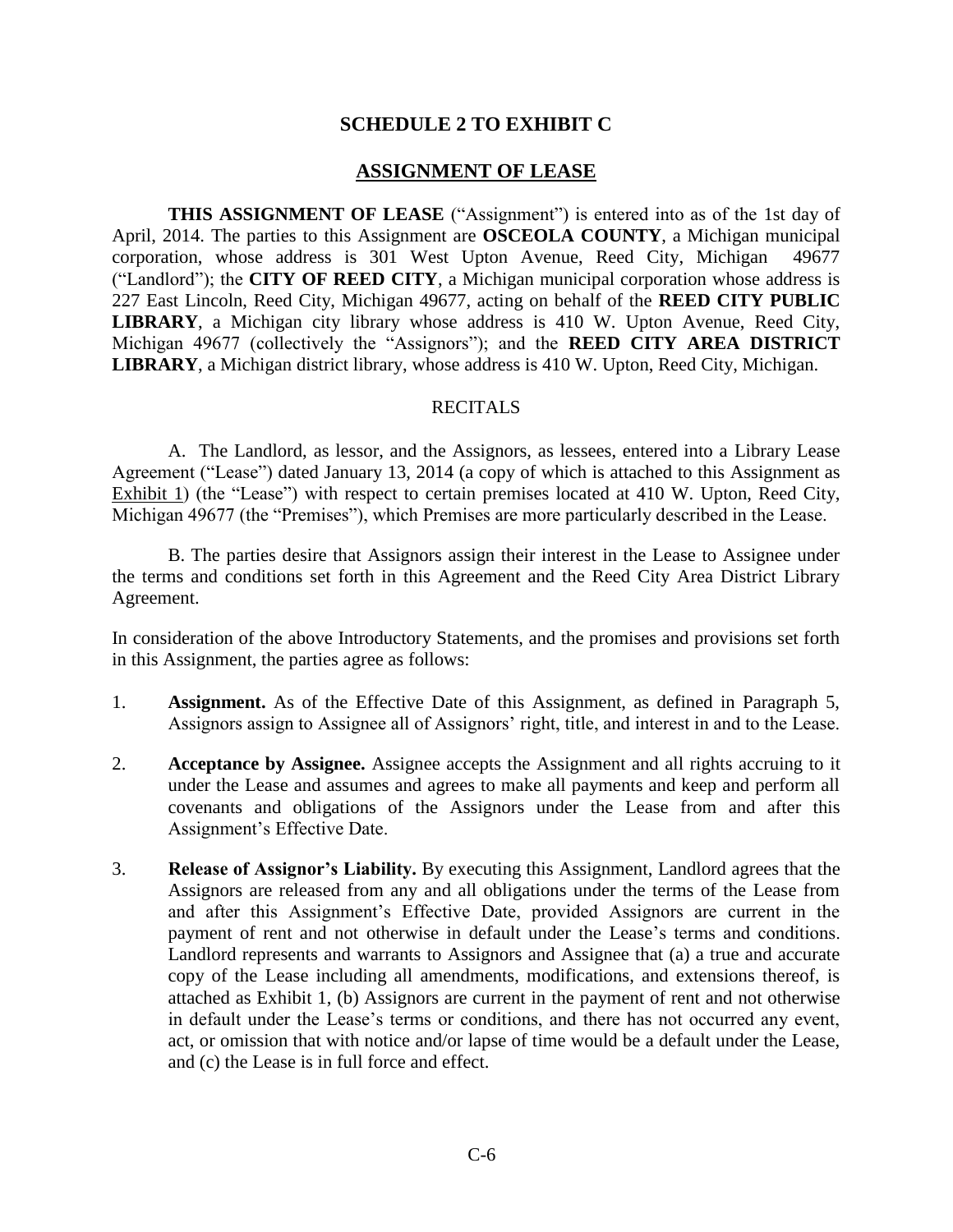## **SCHEDULE 2 TO EXHIBIT C**

#### **ASSIGNMENT OF LEASE**

**THIS ASSIGNMENT OF LEASE** ("Assignment") is entered into as of the 1st day of April, 2014. The parties to this Assignment are **OSCEOLA COUNTY**, a Michigan municipal corporation, whose address is 301 West Upton Avenue, Reed City, Michigan 49677 ("Landlord"); the **CITY OF REED CITY**, a Michigan municipal corporation whose address is 227 East Lincoln, Reed City, Michigan 49677, acting on behalf of the **REED CITY PUBLIC LIBRARY**, a Michigan city library whose address is 410 W. Upton Avenue, Reed City, Michigan 49677 (collectively the "Assignors"); and the **REED CITY AREA DISTRICT LIBRARY**, a Michigan district library, whose address is 410 W. Upton, Reed City, Michigan.

#### RECITALS

A. The Landlord, as lessor, and the Assignors, as lessees, entered into a Library Lease Agreement ("Lease") dated January 13, 2014 (a copy of which is attached to this Assignment as Exhibit 1) (the "Lease") with respect to certain premises located at 410 W. Upton, Reed City, Michigan 49677 (the "Premises"), which Premises are more particularly described in the Lease.

B. The parties desire that Assignors assign their interest in the Lease to Assignee under the terms and conditions set forth in this Agreement and the Reed City Area District Library Agreement.

In consideration of the above Introductory Statements, and the promises and provisions set forth in this Assignment, the parties agree as follows:

- 1. **Assignment.** As of the Effective Date of this Assignment, as defined in Paragraph 5, Assignors assign to Assignee all of Assignors' right, title, and interest in and to the Lease.
- 2. **Acceptance by Assignee.** Assignee accepts the Assignment and all rights accruing to it under the Lease and assumes and agrees to make all payments and keep and perform all covenants and obligations of the Assignors under the Lease from and after this Assignment's Effective Date.
- 3. **Release of Assignor's Liability.** By executing this Assignment, Landlord agrees that the Assignors are released from any and all obligations under the terms of the Lease from and after this Assignment's Effective Date, provided Assignors are current in the payment of rent and not otherwise in default under the Lease's terms and conditions. Landlord represents and warrants to Assignors and Assignee that (a) a true and accurate copy of the Lease including all amendments, modifications, and extensions thereof, is attached as Exhibit 1, (b) Assignors are current in the payment of rent and not otherwise in default under the Lease's terms or conditions, and there has not occurred any event, act, or omission that with notice and/or lapse of time would be a default under the Lease, and (c) the Lease is in full force and effect.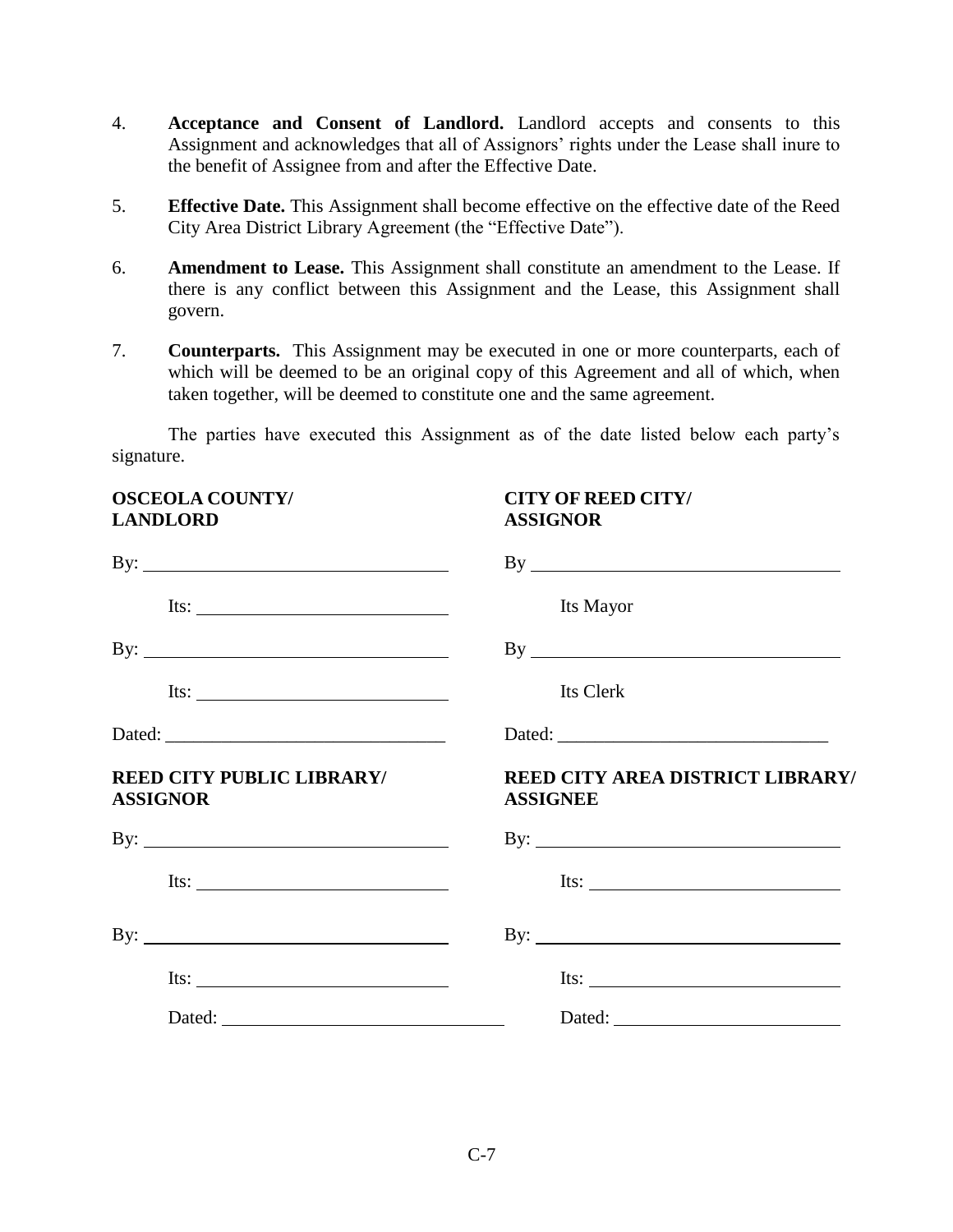- 4. **Acceptance and Consent of Landlord.** Landlord accepts and consents to this Assignment and acknowledges that all of Assignors' rights under the Lease shall inure to the benefit of Assignee from and after the Effective Date.
- 5. **Effective Date.** This Assignment shall become effective on the effective date of the Reed City Area District Library Agreement (the "Effective Date").
- 6. **Amendment to Lease.** This Assignment shall constitute an amendment to the Lease. If there is any conflict between this Assignment and the Lease, this Assignment shall govern.
- 7. **Counterparts.** This Assignment may be executed in one or more counterparts, each of which will be deemed to be an original copy of this Agreement and all of which, when taken together, will be deemed to constitute one and the same agreement.

The parties have executed this Assignment as of the date listed below each party's signature.

| <b>OSCEOLA COUNTY/</b><br><b>LANDLORD</b>                                                                                                                                                                                                                                                                                                                                                                     | <b>CITY OF REED CITY/</b><br><b>ASSIGNOR</b>                                                                                                                                                                                                                                                                                                                                                                  |
|---------------------------------------------------------------------------------------------------------------------------------------------------------------------------------------------------------------------------------------------------------------------------------------------------------------------------------------------------------------------------------------------------------------|---------------------------------------------------------------------------------------------------------------------------------------------------------------------------------------------------------------------------------------------------------------------------------------------------------------------------------------------------------------------------------------------------------------|
|                                                                                                                                                                                                                                                                                                                                                                                                               |                                                                                                                                                                                                                                                                                                                                                                                                               |
| Its: $\frac{1}{\sqrt{1-\frac{1}{2}}\sqrt{1-\frac{1}{2}}\sqrt{1-\frac{1}{2}}\sqrt{1-\frac{1}{2}}\sqrt{1-\frac{1}{2}}\sqrt{1-\frac{1}{2}}\sqrt{1-\frac{1}{2}}\sqrt{1-\frac{1}{2}}\sqrt{1-\frac{1}{2}}\sqrt{1-\frac{1}{2}}\sqrt{1-\frac{1}{2}}\sqrt{1-\frac{1}{2}}\sqrt{1-\frac{1}{2}}\sqrt{1-\frac{1}{2}}\sqrt{1-\frac{1}{2}}\sqrt{1-\frac{1}{2}}\sqrt{1-\frac{1}{2}}\sqrt{1-\frac{1}{2}}\sqrt{1-\frac{1}{2}}\$ | Its Mayor                                                                                                                                                                                                                                                                                                                                                                                                     |
|                                                                                                                                                                                                                                                                                                                                                                                                               | By                                                                                                                                                                                                                                                                                                                                                                                                            |
| Its: $\frac{1}{\sqrt{1-\frac{1}{2}}\sqrt{1-\frac{1}{2}}\sqrt{1-\frac{1}{2}}\sqrt{1-\frac{1}{2}}\sqrt{1-\frac{1}{2}}\sqrt{1-\frac{1}{2}}\sqrt{1-\frac{1}{2}}\sqrt{1-\frac{1}{2}}\sqrt{1-\frac{1}{2}}\sqrt{1-\frac{1}{2}}\sqrt{1-\frac{1}{2}}\sqrt{1-\frac{1}{2}}\sqrt{1-\frac{1}{2}}\sqrt{1-\frac{1}{2}}\sqrt{1-\frac{1}{2}}\sqrt{1-\frac{1}{2}}\sqrt{1-\frac{1}{2}}\sqrt{1-\frac{1}{2}}\sqrt{1-\frac{1}{2}}\$ | Its Clerk                                                                                                                                                                                                                                                                                                                                                                                                     |
|                                                                                                                                                                                                                                                                                                                                                                                                               |                                                                                                                                                                                                                                                                                                                                                                                                               |
| REED CITY PUBLIC LIBRARY/<br><b>ASSIGNOR</b>                                                                                                                                                                                                                                                                                                                                                                  | REED CITY AREA DISTRICT LIBRARY/<br><b>ASSIGNEE</b>                                                                                                                                                                                                                                                                                                                                                           |
|                                                                                                                                                                                                                                                                                                                                                                                                               |                                                                                                                                                                                                                                                                                                                                                                                                               |
| Its: $\qquad \qquad$                                                                                                                                                                                                                                                                                                                                                                                          | Its: $\frac{1}{\sqrt{1-\frac{1}{2}}\sqrt{1-\frac{1}{2}}\sqrt{1-\frac{1}{2}}\sqrt{1-\frac{1}{2}}\sqrt{1-\frac{1}{2}}\sqrt{1-\frac{1}{2}}\sqrt{1-\frac{1}{2}}\sqrt{1-\frac{1}{2}}\sqrt{1-\frac{1}{2}}\sqrt{1-\frac{1}{2}}\sqrt{1-\frac{1}{2}}\sqrt{1-\frac{1}{2}}\sqrt{1-\frac{1}{2}}\sqrt{1-\frac{1}{2}}\sqrt{1-\frac{1}{2}}\sqrt{1-\frac{1}{2}}\sqrt{1-\frac{1}{2}}\sqrt{1-\frac{1}{2}}\sqrt{1-\frac{1}{2}}\$ |
|                                                                                                                                                                                                                                                                                                                                                                                                               |                                                                                                                                                                                                                                                                                                                                                                                                               |
| Its: $\qquad \qquad$                                                                                                                                                                                                                                                                                                                                                                                          | Its: $\frac{1}{\sqrt{1-\frac{1}{2}}\sqrt{1-\frac{1}{2}}\sqrt{1-\frac{1}{2}}\sqrt{1-\frac{1}{2}}\sqrt{1-\frac{1}{2}}\sqrt{1-\frac{1}{2}}\sqrt{1-\frac{1}{2}}\sqrt{1-\frac{1}{2}}\sqrt{1-\frac{1}{2}}\sqrt{1-\frac{1}{2}}\sqrt{1-\frac{1}{2}}\sqrt{1-\frac{1}{2}}\sqrt{1-\frac{1}{2}}\sqrt{1-\frac{1}{2}}\sqrt{1-\frac{1}{2}}\sqrt{1-\frac{1}{2}}\sqrt{1-\frac{1}{2}}\sqrt{1-\frac{1}{2}}\sqrt{1-\frac{1}{2}}\$ |
|                                                                                                                                                                                                                                                                                                                                                                                                               |                                                                                                                                                                                                                                                                                                                                                                                                               |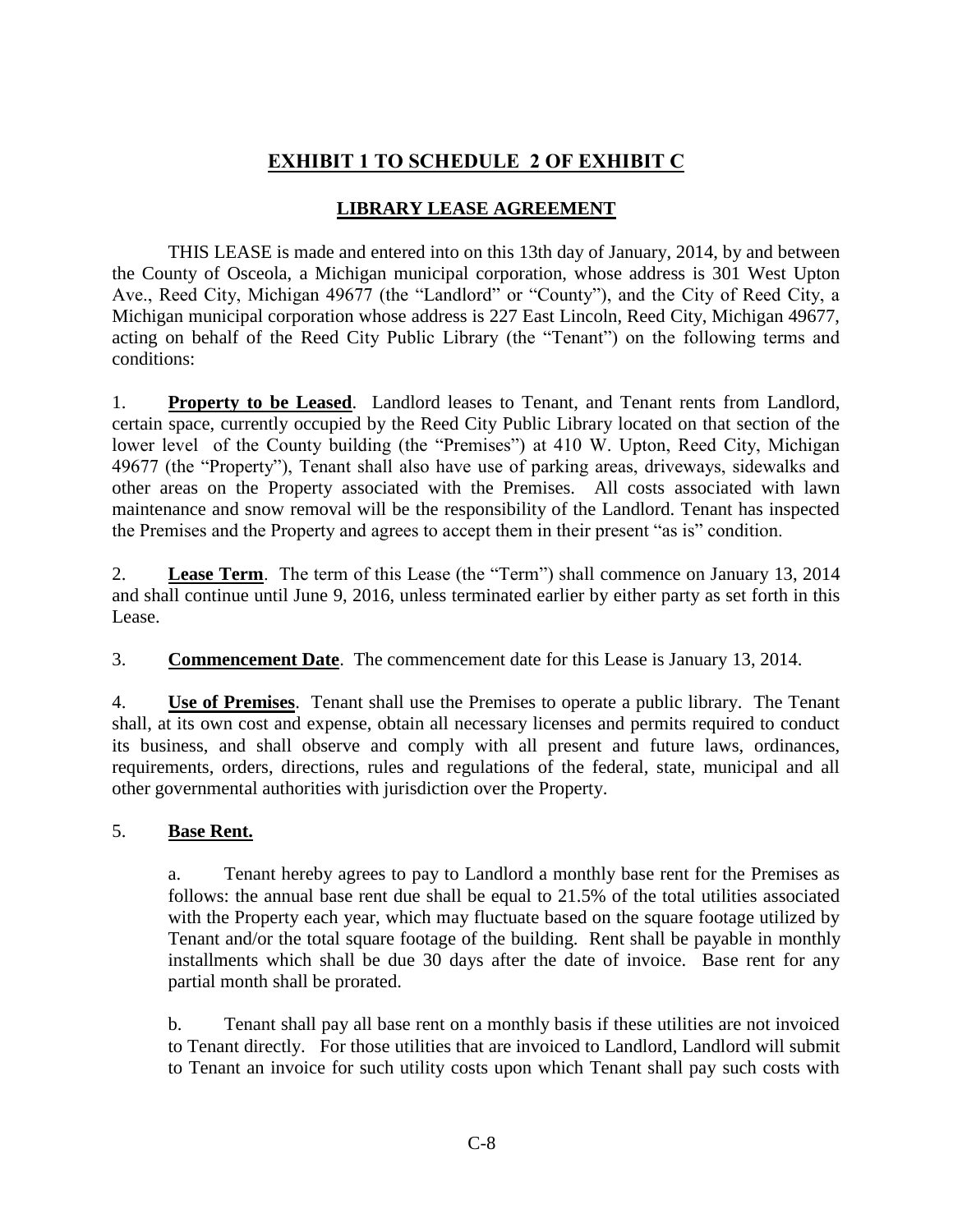# **EXHIBIT 1 TO SCHEDULE 2 OF EXHIBIT C**

## **LIBRARY LEASE AGREEMENT**

THIS LEASE is made and entered into on this 13th day of January, 2014, by and between the County of Osceola, a Michigan municipal corporation, whose address is 301 West Upton Ave., Reed City, Michigan 49677 (the "Landlord" or "County"), and the City of Reed City, a Michigan municipal corporation whose address is 227 East Lincoln, Reed City, Michigan 49677, acting on behalf of the Reed City Public Library (the "Tenant") on the following terms and conditions:

1. **Property to be Leased**. Landlord leases to Tenant, and Tenant rents from Landlord, certain space, currently occupied by the Reed City Public Library located on that section of the lower level of the County building (the "Premises") at 410 W. Upton, Reed City, Michigan 49677 (the "Property"), Tenant shall also have use of parking areas, driveways, sidewalks and other areas on the Property associated with the Premises. All costs associated with lawn maintenance and snow removal will be the responsibility of the Landlord. Tenant has inspected the Premises and the Property and agrees to accept them in their present "as is" condition.

2. **Lease Term**. The term of this Lease (the "Term") shall commence on January 13, 2014 and shall continue until June 9, 2016, unless terminated earlier by either party as set forth in this Lease.

3. **Commencement Date**. The commencement date for this Lease is January 13, 2014.

4. **Use of Premises**. Tenant shall use the Premises to operate a public library. The Tenant shall, at its own cost and expense, obtain all necessary licenses and permits required to conduct its business, and shall observe and comply with all present and future laws, ordinances, requirements, orders, directions, rules and regulations of the federal, state, municipal and all other governmental authorities with jurisdiction over the Property.

## 5. **Base Rent.**

a. Tenant hereby agrees to pay to Landlord a monthly base rent for the Premises as follows: the annual base rent due shall be equal to 21.5% of the total utilities associated with the Property each year, which may fluctuate based on the square footage utilized by Tenant and/or the total square footage of the building. Rent shall be payable in monthly installments which shall be due 30 days after the date of invoice. Base rent for any partial month shall be prorated.

b. Tenant shall pay all base rent on a monthly basis if these utilities are not invoiced to Tenant directly. For those utilities that are invoiced to Landlord, Landlord will submit to Tenant an invoice for such utility costs upon which Tenant shall pay such costs with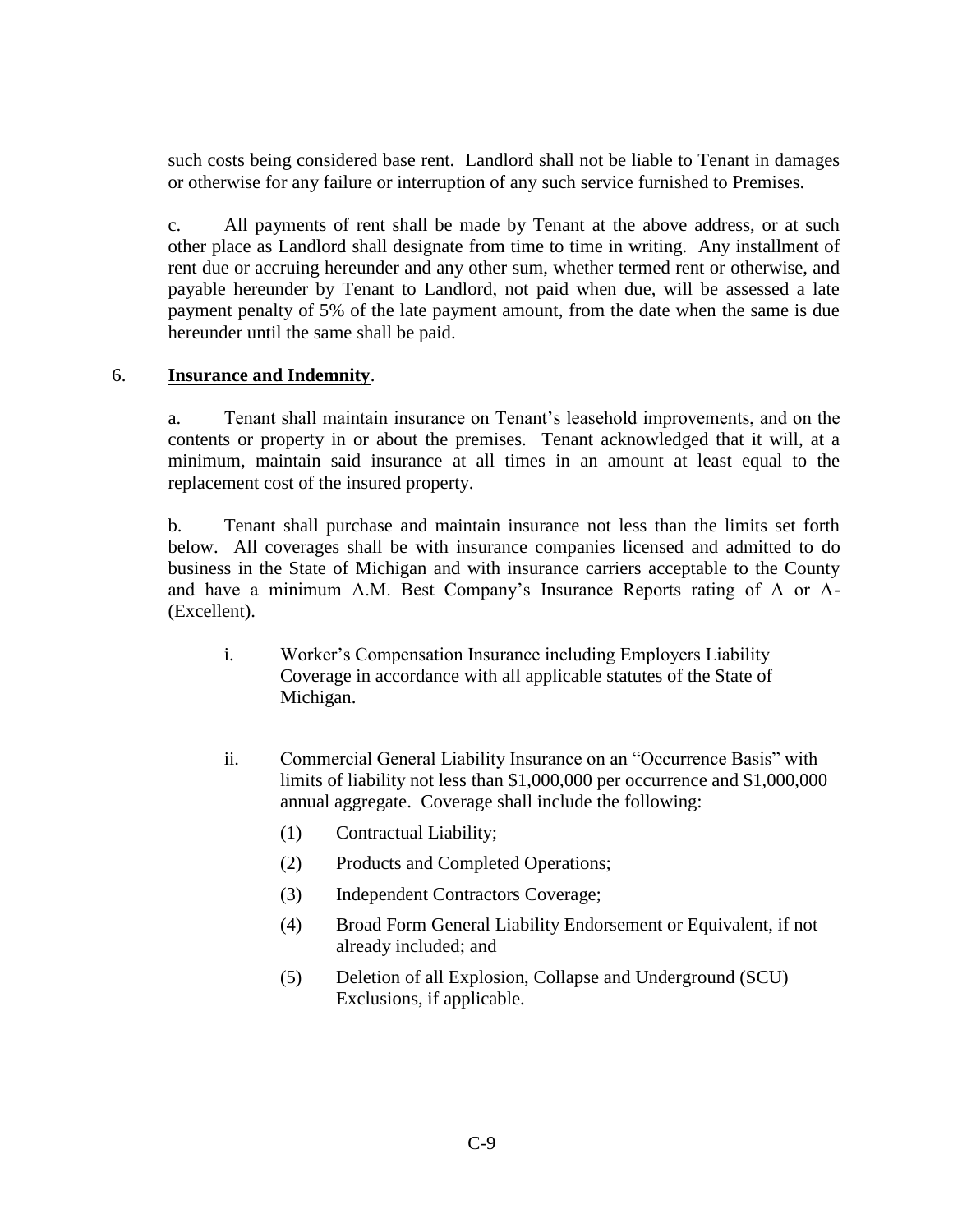such costs being considered base rent. Landlord shall not be liable to Tenant in damages or otherwise for any failure or interruption of any such service furnished to Premises.

c. All payments of rent shall be made by Tenant at the above address, or at such other place as Landlord shall designate from time to time in writing. Any installment of rent due or accruing hereunder and any other sum, whether termed rent or otherwise, and payable hereunder by Tenant to Landlord, not paid when due, will be assessed a late payment penalty of 5% of the late payment amount, from the date when the same is due hereunder until the same shall be paid.

#### 6. **Insurance and Indemnity**.

a. Tenant shall maintain insurance on Tenant's leasehold improvements, and on the contents or property in or about the premises. Tenant acknowledged that it will, at a minimum, maintain said insurance at all times in an amount at least equal to the replacement cost of the insured property.

b. Tenant shall purchase and maintain insurance not less than the limits set forth below. All coverages shall be with insurance companies licensed and admitted to do business in the State of Michigan and with insurance carriers acceptable to the County and have a minimum A.M. Best Company's Insurance Reports rating of A or A- (Excellent).

- i. Worker's Compensation Insurance including Employers Liability Coverage in accordance with all applicable statutes of the State of Michigan.
- ii. Commercial General Liability Insurance on an "Occurrence Basis" with limits of liability not less than \$1,000,000 per occurrence and \$1,000,000 annual aggregate. Coverage shall include the following:
	- (1) Contractual Liability;
	- (2) Products and Completed Operations;
	- (3) Independent Contractors Coverage;
	- (4) Broad Form General Liability Endorsement or Equivalent, if not already included; and
	- (5) Deletion of all Explosion, Collapse and Underground (SCU) Exclusions, if applicable.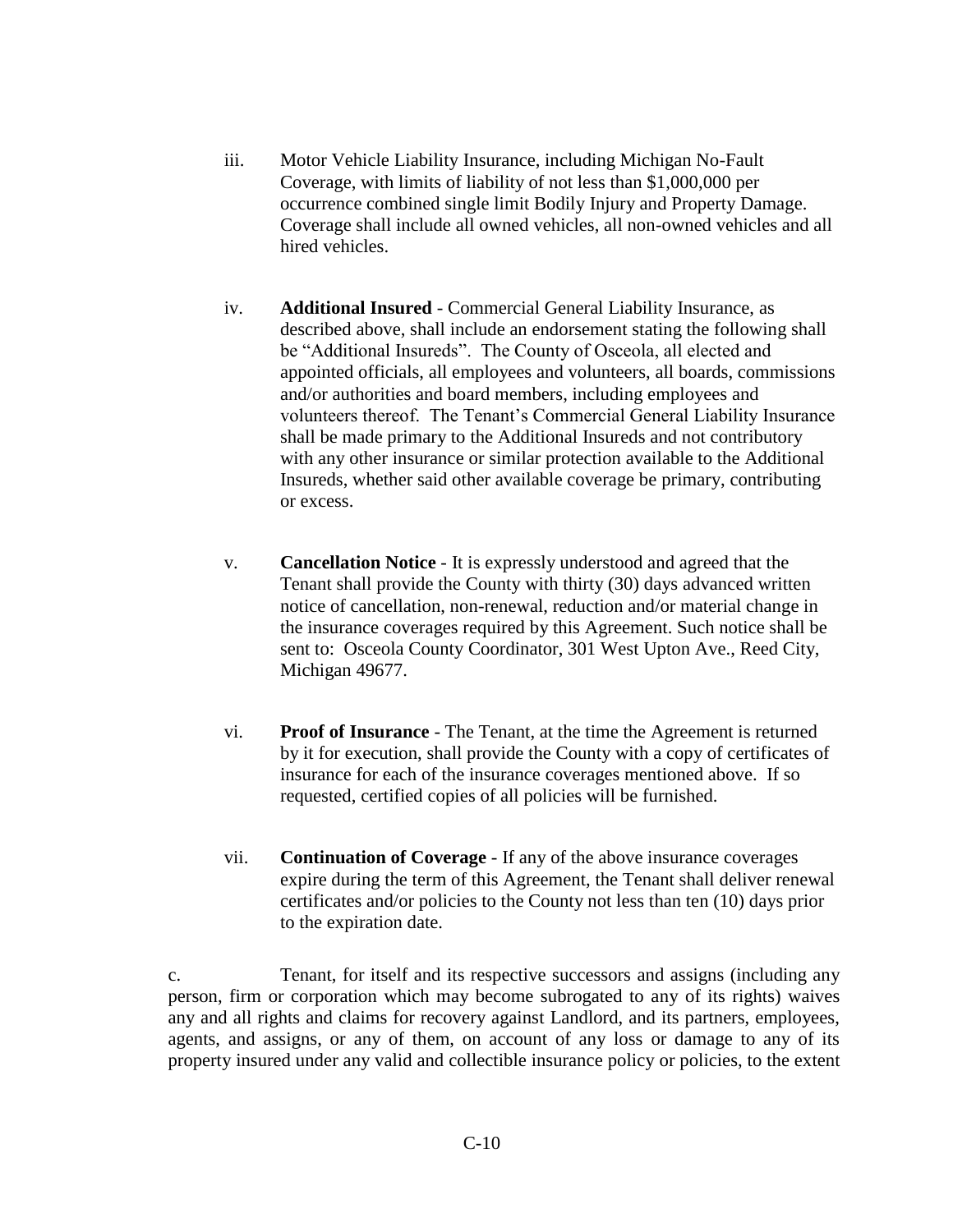- iii. Motor Vehicle Liability Insurance, including Michigan No-Fault Coverage, with limits of liability of not less than \$1,000,000 per occurrence combined single limit Bodily Injury and Property Damage. Coverage shall include all owned vehicles, all non-owned vehicles and all hired vehicles.
- iv. **Additional Insured** Commercial General Liability Insurance, as described above, shall include an endorsement stating the following shall be "Additional Insureds". The County of Osceola, all elected and appointed officials, all employees and volunteers, all boards, commissions and/or authorities and board members, including employees and volunteers thereof. The Tenant's Commercial General Liability Insurance shall be made primary to the Additional Insureds and not contributory with any other insurance or similar protection available to the Additional Insureds, whether said other available coverage be primary, contributing or excess.
- v. **Cancellation Notice** It is expressly understood and agreed that the Tenant shall provide the County with thirty (30) days advanced written notice of cancellation, non-renewal, reduction and/or material change in the insurance coverages required by this Agreement. Such notice shall be sent to: Osceola County Coordinator, 301 West Upton Ave., Reed City, Michigan 49677.
- vi. **Proof of Insurance** The Tenant, at the time the Agreement is returned by it for execution, shall provide the County with a copy of certificates of insurance for each of the insurance coverages mentioned above. If so requested, certified copies of all policies will be furnished.
- vii. **Continuation of Coverage** If any of the above insurance coverages expire during the term of this Agreement, the Tenant shall deliver renewal certificates and/or policies to the County not less than ten (10) days prior to the expiration date.

c. Tenant, for itself and its respective successors and assigns (including any person, firm or corporation which may become subrogated to any of its rights) waives any and all rights and claims for recovery against Landlord, and its partners, employees, agents, and assigns, or any of them, on account of any loss or damage to any of its property insured under any valid and collectible insurance policy or policies, to the extent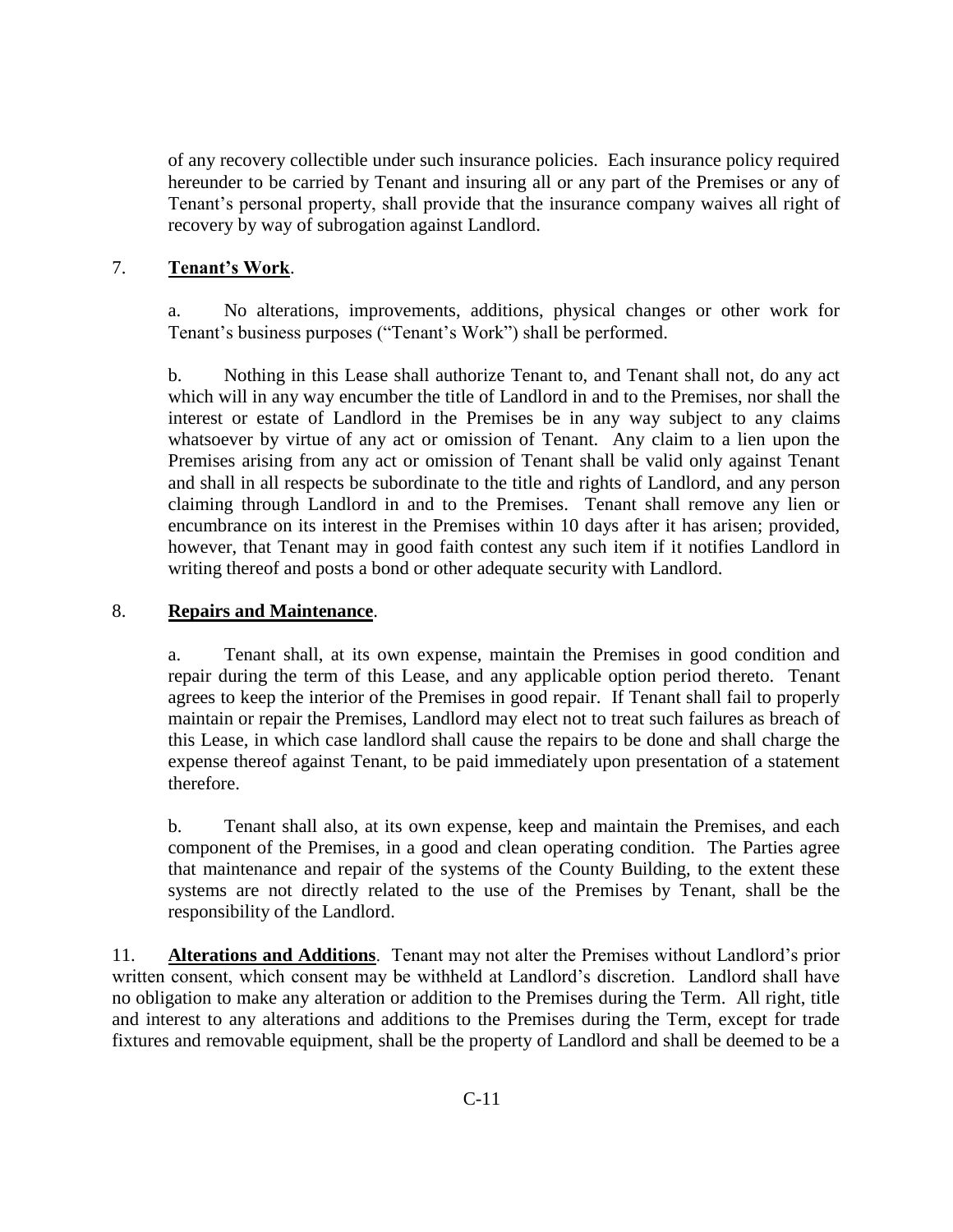of any recovery collectible under such insurance policies. Each insurance policy required hereunder to be carried by Tenant and insuring all or any part of the Premises or any of Tenant's personal property, shall provide that the insurance company waives all right of recovery by way of subrogation against Landlord.

## 7. **Tenant's Work**.

a. No alterations, improvements, additions, physical changes or other work for Tenant's business purposes ("Tenant's Work") shall be performed.

b. Nothing in this Lease shall authorize Tenant to, and Tenant shall not, do any act which will in any way encumber the title of Landlord in and to the Premises, nor shall the interest or estate of Landlord in the Premises be in any way subject to any claims whatsoever by virtue of any act or omission of Tenant. Any claim to a lien upon the Premises arising from any act or omission of Tenant shall be valid only against Tenant and shall in all respects be subordinate to the title and rights of Landlord, and any person claiming through Landlord in and to the Premises. Tenant shall remove any lien or encumbrance on its interest in the Premises within 10 days after it has arisen; provided, however, that Tenant may in good faith contest any such item if it notifies Landlord in writing thereof and posts a bond or other adequate security with Landlord.

## 8. **Repairs and Maintenance**.

a. Tenant shall, at its own expense, maintain the Premises in good condition and repair during the term of this Lease, and any applicable option period thereto. Tenant agrees to keep the interior of the Premises in good repair. If Tenant shall fail to properly maintain or repair the Premises, Landlord may elect not to treat such failures as breach of this Lease, in which case landlord shall cause the repairs to be done and shall charge the expense thereof against Tenant, to be paid immediately upon presentation of a statement therefore.

b. Tenant shall also, at its own expense, keep and maintain the Premises, and each component of the Premises, in a good and clean operating condition. The Parties agree that maintenance and repair of the systems of the County Building, to the extent these systems are not directly related to the use of the Premises by Tenant, shall be the responsibility of the Landlord.

11. **Alterations and Additions**. Tenant may not alter the Premises without Landlord's prior written consent, which consent may be withheld at Landlord's discretion. Landlord shall have no obligation to make any alteration or addition to the Premises during the Term. All right, title and interest to any alterations and additions to the Premises during the Term, except for trade fixtures and removable equipment, shall be the property of Landlord and shall be deemed to be a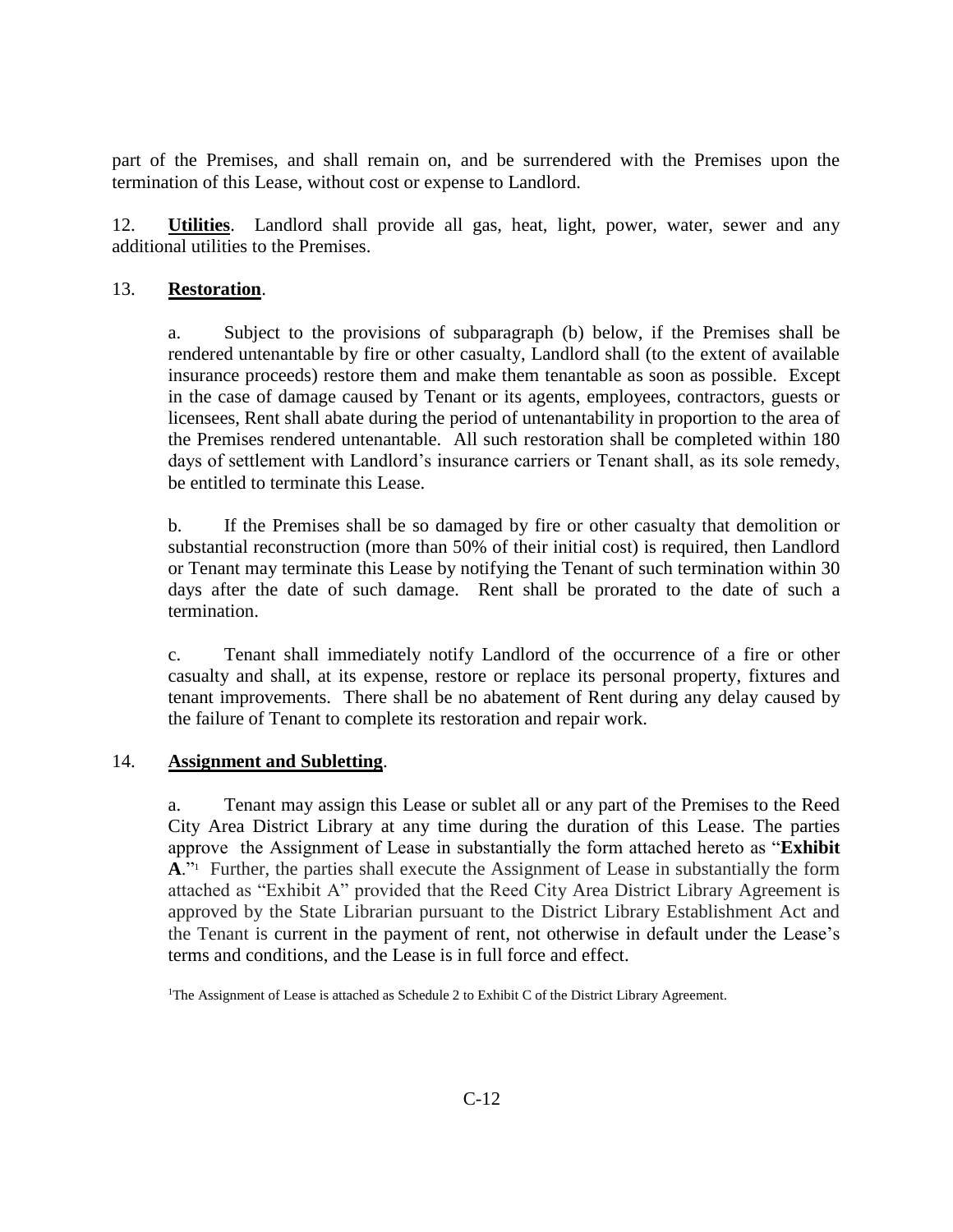part of the Premises, and shall remain on, and be surrendered with the Premises upon the termination of this Lease, without cost or expense to Landlord.

12. **Utilities**. Landlord shall provide all gas, heat, light, power, water, sewer and any additional utilities to the Premises.

## 13. **Restoration**.

a. Subject to the provisions of subparagraph (b) below, if the Premises shall be rendered untenantable by fire or other casualty, Landlord shall (to the extent of available insurance proceeds) restore them and make them tenantable as soon as possible. Except in the case of damage caused by Tenant or its agents, employees, contractors, guests or licensees, Rent shall abate during the period of untenantability in proportion to the area of the Premises rendered untenantable. All such restoration shall be completed within 180 days of settlement with Landlord's insurance carriers or Tenant shall, as its sole remedy, be entitled to terminate this Lease.

b. If the Premises shall be so damaged by fire or other casualty that demolition or substantial reconstruction (more than 50% of their initial cost) is required, then Landlord or Tenant may terminate this Lease by notifying the Tenant of such termination within 30 days after the date of such damage. Rent shall be prorated to the date of such a termination.

c. Tenant shall immediately notify Landlord of the occurrence of a fire or other casualty and shall, at its expense, restore or replace its personal property, fixtures and tenant improvements. There shall be no abatement of Rent during any delay caused by the failure of Tenant to complete its restoration and repair work.

#### 14. **Assignment and Subletting**.

a. Tenant may assign this Lease or sublet all or any part of the Premises to the Reed City Area District Library at any time during the duration of this Lease. The parties approve the Assignment of Lease in substantially the form attached hereto as "**Exhibit**  A."<sup>1</sup> Further, the parties shall execute the Assignment of Lease in substantially the form attached as "Exhibit A" provided that the Reed City Area District Library Agreement is approved by the State Librarian pursuant to the District Library Establishment Act and the Tenant is current in the payment of rent, not otherwise in default under the Lease's terms and conditions, and the Lease is in full force and effect.

<sup>&</sup>lt;sup>1</sup>The Assignment of Lease is attached as Schedule 2 to Exhibit C of the District Library Agreement.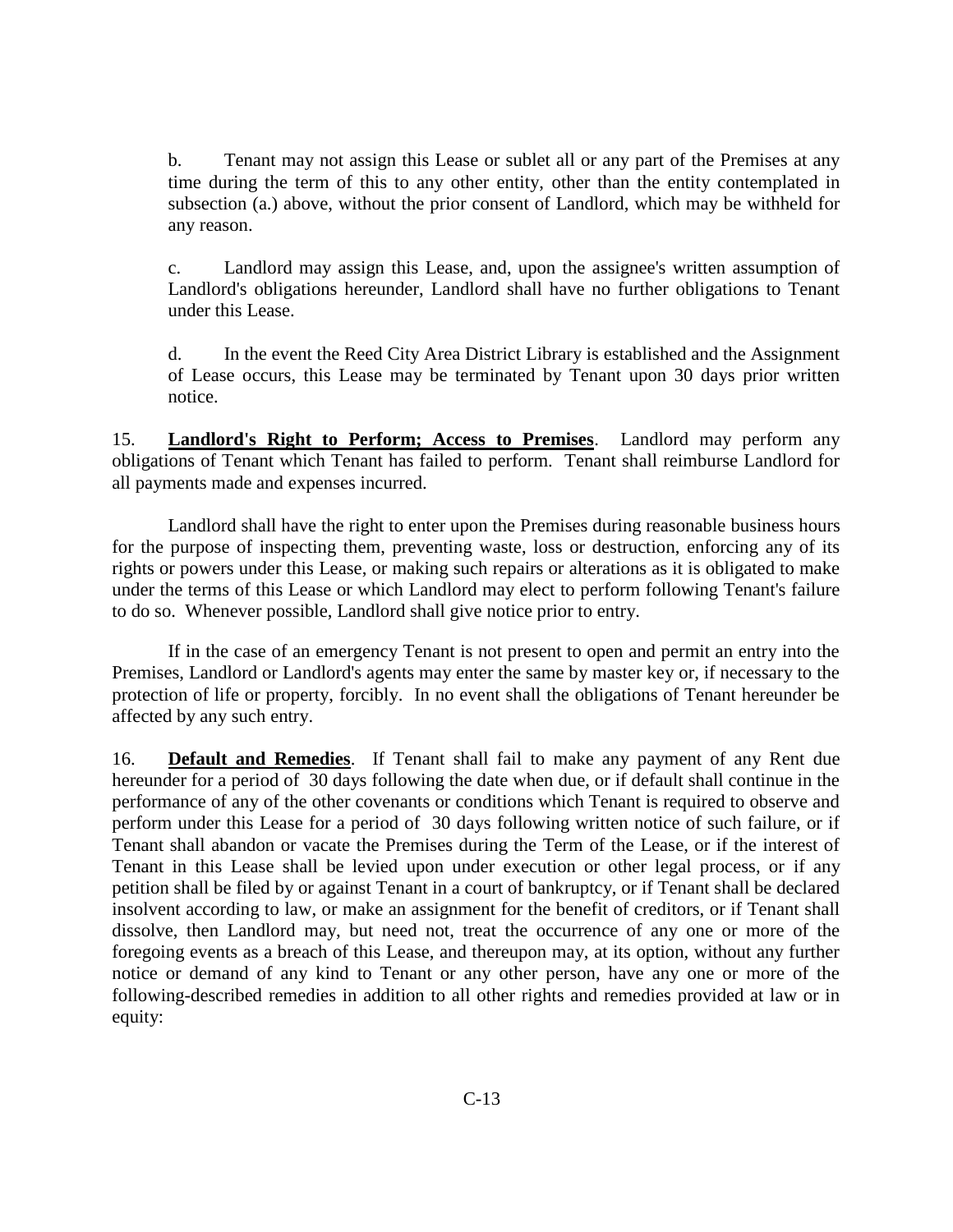b. Tenant may not assign this Lease or sublet all or any part of the Premises at any time during the term of this to any other entity, other than the entity contemplated in subsection (a.) above, without the prior consent of Landlord, which may be withheld for any reason.

c. Landlord may assign this Lease, and, upon the assignee's written assumption of Landlord's obligations hereunder, Landlord shall have no further obligations to Tenant under this Lease.

d. In the event the Reed City Area District Library is established and the Assignment of Lease occurs, this Lease may be terminated by Tenant upon 30 days prior written notice.

15. **Landlord's Right to Perform; Access to Premises**. Landlord may perform any obligations of Tenant which Tenant has failed to perform. Tenant shall reimburse Landlord for all payments made and expenses incurred.

Landlord shall have the right to enter upon the Premises during reasonable business hours for the purpose of inspecting them, preventing waste, loss or destruction, enforcing any of its rights or powers under this Lease, or making such repairs or alterations as it is obligated to make under the terms of this Lease or which Landlord may elect to perform following Tenant's failure to do so. Whenever possible, Landlord shall give notice prior to entry.

If in the case of an emergency Tenant is not present to open and permit an entry into the Premises, Landlord or Landlord's agents may enter the same by master key or, if necessary to the protection of life or property, forcibly. In no event shall the obligations of Tenant hereunder be affected by any such entry.

16. **Default and Remedies**. If Tenant shall fail to make any payment of any Rent due hereunder for a period of 30 days following the date when due, or if default shall continue in the performance of any of the other covenants or conditions which Tenant is required to observe and perform under this Lease for a period of 30 days following written notice of such failure, or if Tenant shall abandon or vacate the Premises during the Term of the Lease, or if the interest of Tenant in this Lease shall be levied upon under execution or other legal process, or if any petition shall be filed by or against Tenant in a court of bankruptcy, or if Tenant shall be declared insolvent according to law, or make an assignment for the benefit of creditors, or if Tenant shall dissolve, then Landlord may, but need not, treat the occurrence of any one or more of the foregoing events as a breach of this Lease, and thereupon may, at its option, without any further notice or demand of any kind to Tenant or any other person, have any one or more of the following-described remedies in addition to all other rights and remedies provided at law or in equity: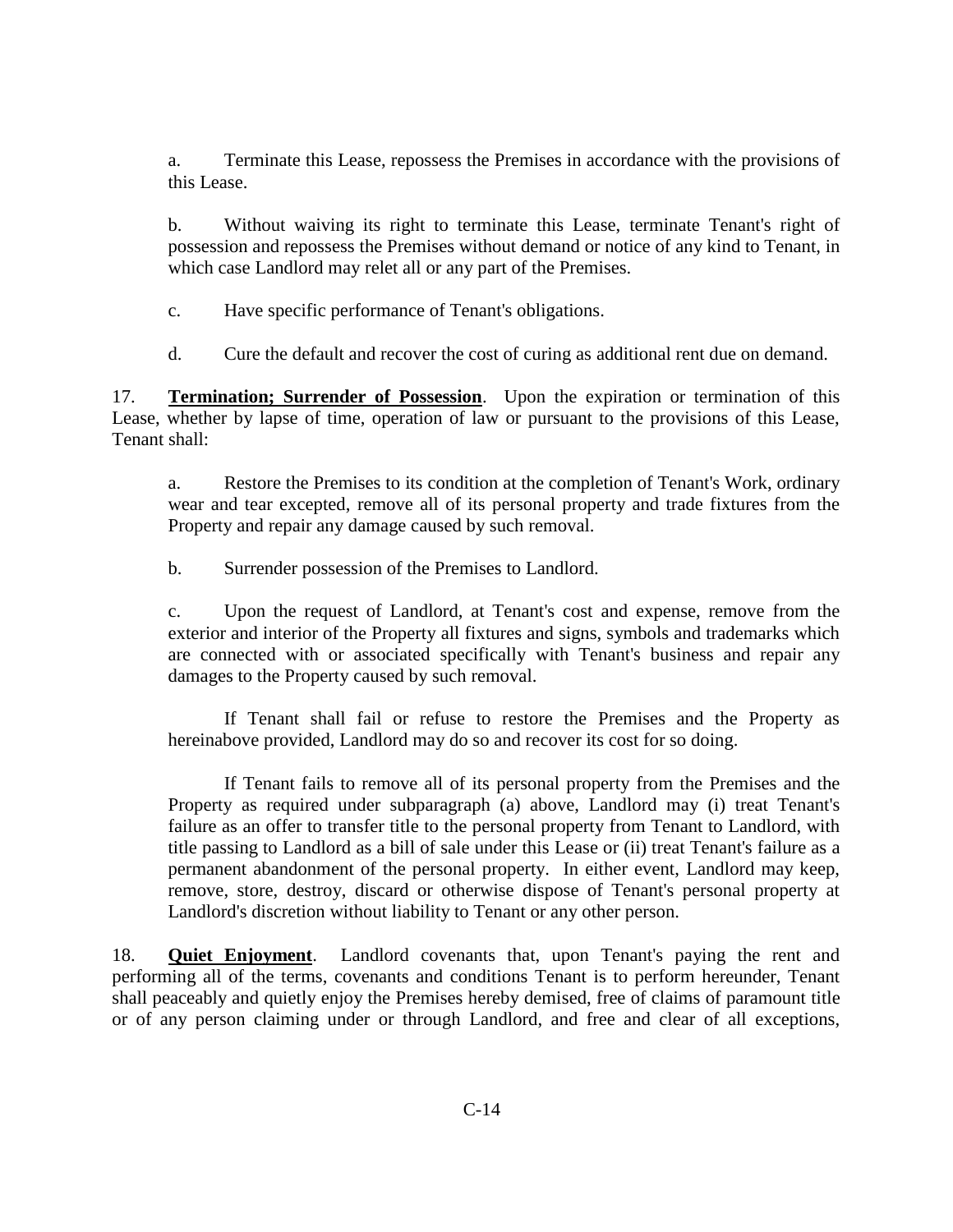a. Terminate this Lease, repossess the Premises in accordance with the provisions of this Lease.

b. Without waiving its right to terminate this Lease, terminate Tenant's right of possession and repossess the Premises without demand or notice of any kind to Tenant, in which case Landlord may relet all or any part of the Premises.

c. Have specific performance of Tenant's obligations.

d. Cure the default and recover the cost of curing as additional rent due on demand.

17. **Termination; Surrender of Possession**. Upon the expiration or termination of this Lease, whether by lapse of time, operation of law or pursuant to the provisions of this Lease, Tenant shall:

a. Restore the Premises to its condition at the completion of Tenant's Work, ordinary wear and tear excepted, remove all of its personal property and trade fixtures from the Property and repair any damage caused by such removal.

b. Surrender possession of the Premises to Landlord.

c. Upon the request of Landlord, at Tenant's cost and expense, remove from the exterior and interior of the Property all fixtures and signs, symbols and trademarks which are connected with or associated specifically with Tenant's business and repair any damages to the Property caused by such removal.

If Tenant shall fail or refuse to restore the Premises and the Property as hereinabove provided, Landlord may do so and recover its cost for so doing.

If Tenant fails to remove all of its personal property from the Premises and the Property as required under subparagraph (a) above, Landlord may (i) treat Tenant's failure as an offer to transfer title to the personal property from Tenant to Landlord, with title passing to Landlord as a bill of sale under this Lease or (ii) treat Tenant's failure as a permanent abandonment of the personal property. In either event, Landlord may keep, remove, store, destroy, discard or otherwise dispose of Tenant's personal property at Landlord's discretion without liability to Tenant or any other person.

18. **Quiet Enjoyment**. Landlord covenants that, upon Tenant's paying the rent and performing all of the terms, covenants and conditions Tenant is to perform hereunder, Tenant shall peaceably and quietly enjoy the Premises hereby demised, free of claims of paramount title or of any person claiming under or through Landlord, and free and clear of all exceptions,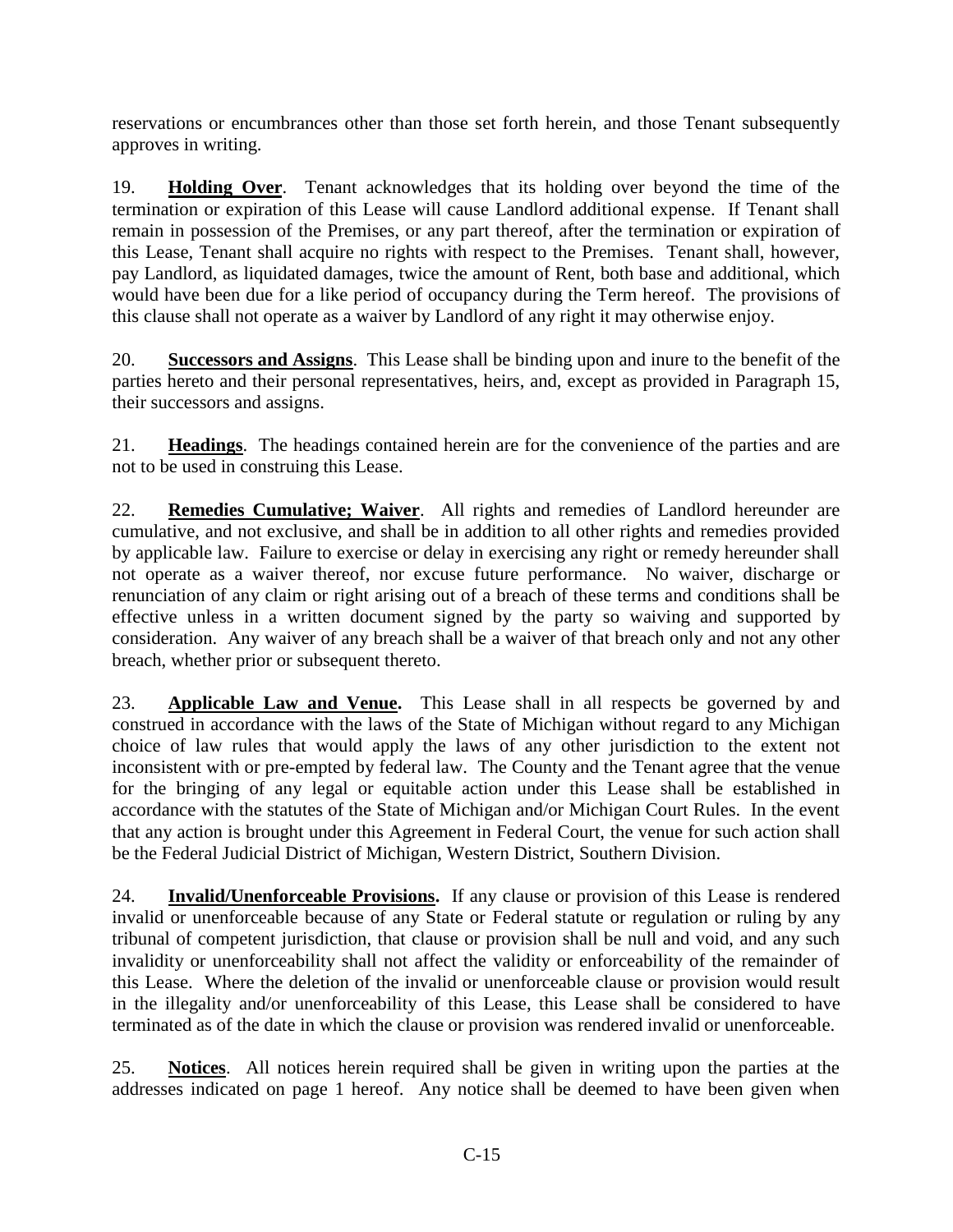reservations or encumbrances other than those set forth herein, and those Tenant subsequently approves in writing.

19. **Holding Over**. Tenant acknowledges that its holding over beyond the time of the termination or expiration of this Lease will cause Landlord additional expense. If Tenant shall remain in possession of the Premises, or any part thereof, after the termination or expiration of this Lease, Tenant shall acquire no rights with respect to the Premises. Tenant shall, however, pay Landlord, as liquidated damages, twice the amount of Rent, both base and additional, which would have been due for a like period of occupancy during the Term hereof. The provisions of this clause shall not operate as a waiver by Landlord of any right it may otherwise enjoy.

20. **Successors and Assigns**. This Lease shall be binding upon and inure to the benefit of the parties hereto and their personal representatives, heirs, and, except as provided in Paragraph 15, their successors and assigns.

21. **Headings**. The headings contained herein are for the convenience of the parties and are not to be used in construing this Lease.

22. **Remedies Cumulative; Waiver**. All rights and remedies of Landlord hereunder are cumulative, and not exclusive, and shall be in addition to all other rights and remedies provided by applicable law. Failure to exercise or delay in exercising any right or remedy hereunder shall not operate as a waiver thereof, nor excuse future performance. No waiver, discharge or renunciation of any claim or right arising out of a breach of these terms and conditions shall be effective unless in a written document signed by the party so waiving and supported by consideration. Any waiver of any breach shall be a waiver of that breach only and not any other breach, whether prior or subsequent thereto.

23. **Applicable Law and Venue.** This Lease shall in all respects be governed by and construed in accordance with the laws of the State of Michigan without regard to any Michigan choice of law rules that would apply the laws of any other jurisdiction to the extent not inconsistent with or pre-empted by federal law. The County and the Tenant agree that the venue for the bringing of any legal or equitable action under this Lease shall be established in accordance with the statutes of the State of Michigan and/or Michigan Court Rules. In the event that any action is brought under this Agreement in Federal Court, the venue for such action shall be the Federal Judicial District of Michigan, Western District, Southern Division.

24. **Invalid/Unenforceable Provisions.** If any clause or provision of this Lease is rendered invalid or unenforceable because of any State or Federal statute or regulation or ruling by any tribunal of competent jurisdiction, that clause or provision shall be null and void, and any such invalidity or unenforceability shall not affect the validity or enforceability of the remainder of this Lease. Where the deletion of the invalid or unenforceable clause or provision would result in the illegality and/or unenforceability of this Lease, this Lease shall be considered to have terminated as of the date in which the clause or provision was rendered invalid or unenforceable.

25. **Notices**. All notices herein required shall be given in writing upon the parties at the addresses indicated on page 1 hereof. Any notice shall be deemed to have been given when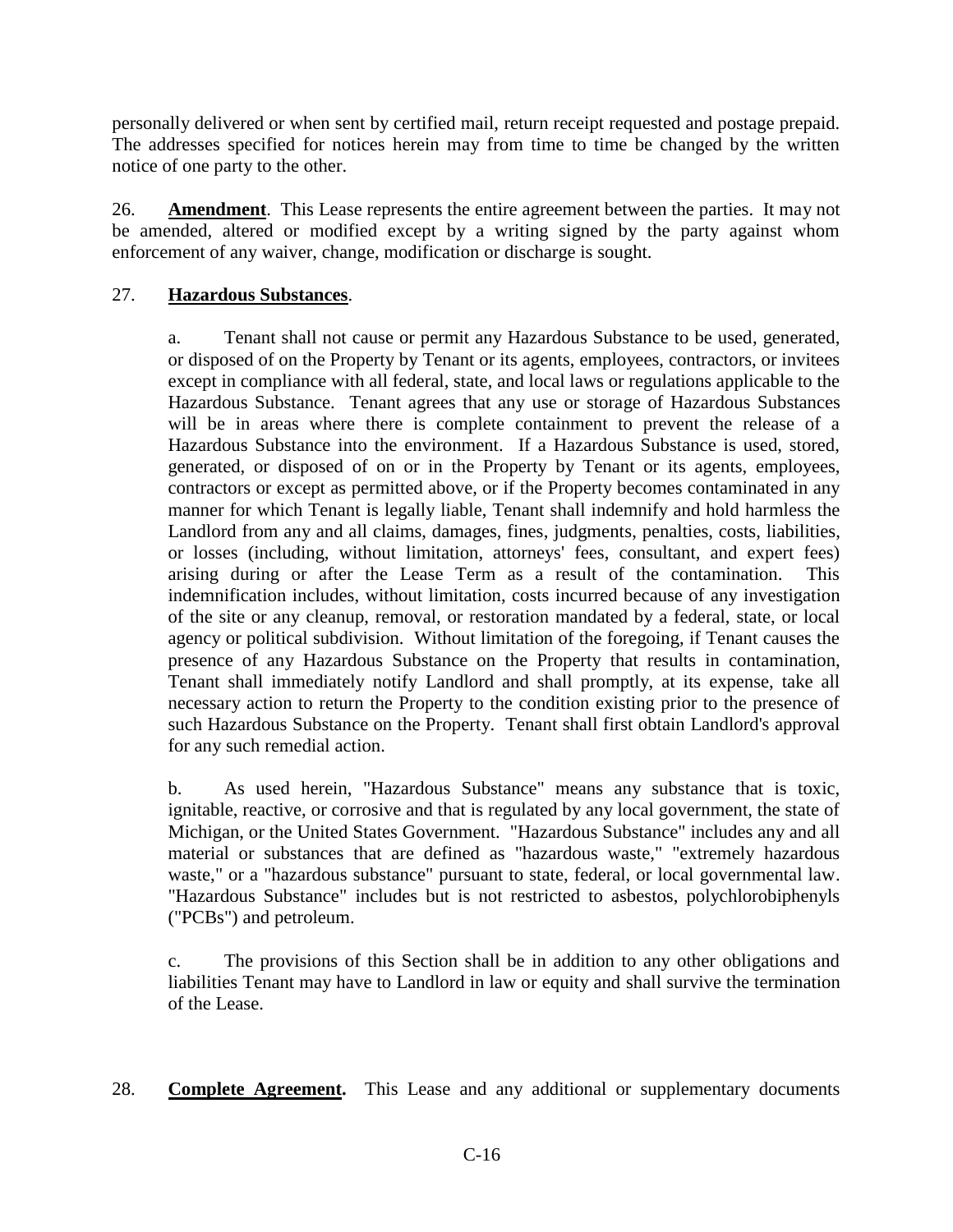personally delivered or when sent by certified mail, return receipt requested and postage prepaid. The addresses specified for notices herein may from time to time be changed by the written notice of one party to the other.

26. **Amendment**. This Lease represents the entire agreement between the parties. It may not be amended, altered or modified except by a writing signed by the party against whom enforcement of any waiver, change, modification or discharge is sought.

## 27. **Hazardous Substances**.

a. Tenant shall not cause or permit any Hazardous Substance to be used, generated, or disposed of on the Property by Tenant or its agents, employees, contractors, or invitees except in compliance with all federal, state, and local laws or regulations applicable to the Hazardous Substance. Tenant agrees that any use or storage of Hazardous Substances will be in areas where there is complete containment to prevent the release of a Hazardous Substance into the environment. If a Hazardous Substance is used, stored, generated, or disposed of on or in the Property by Tenant or its agents, employees, contractors or except as permitted above, or if the Property becomes contaminated in any manner for which Tenant is legally liable, Tenant shall indemnify and hold harmless the Landlord from any and all claims, damages, fines, judgments, penalties, costs, liabilities, or losses (including, without limitation, attorneys' fees, consultant, and expert fees) arising during or after the Lease Term as a result of the contamination. This indemnification includes, without limitation, costs incurred because of any investigation of the site or any cleanup, removal, or restoration mandated by a federal, state, or local agency or political subdivision. Without limitation of the foregoing, if Tenant causes the presence of any Hazardous Substance on the Property that results in contamination, Tenant shall immediately notify Landlord and shall promptly, at its expense, take all necessary action to return the Property to the condition existing prior to the presence of such Hazardous Substance on the Property. Tenant shall first obtain Landlord's approval for any such remedial action.

b. As used herein, "Hazardous Substance" means any substance that is toxic, ignitable, reactive, or corrosive and that is regulated by any local government, the state of Michigan, or the United States Government. "Hazardous Substance" includes any and all material or substances that are defined as "hazardous waste," "extremely hazardous waste," or a "hazardous substance" pursuant to state, federal, or local governmental law. "Hazardous Substance" includes but is not restricted to asbestos, polychlorobiphenyls ("PCBs") and petroleum.

c. The provisions of this Section shall be in addition to any other obligations and liabilities Tenant may have to Landlord in law or equity and shall survive the termination of the Lease.

28. **Complete Agreement.** This Lease and any additional or supplementary documents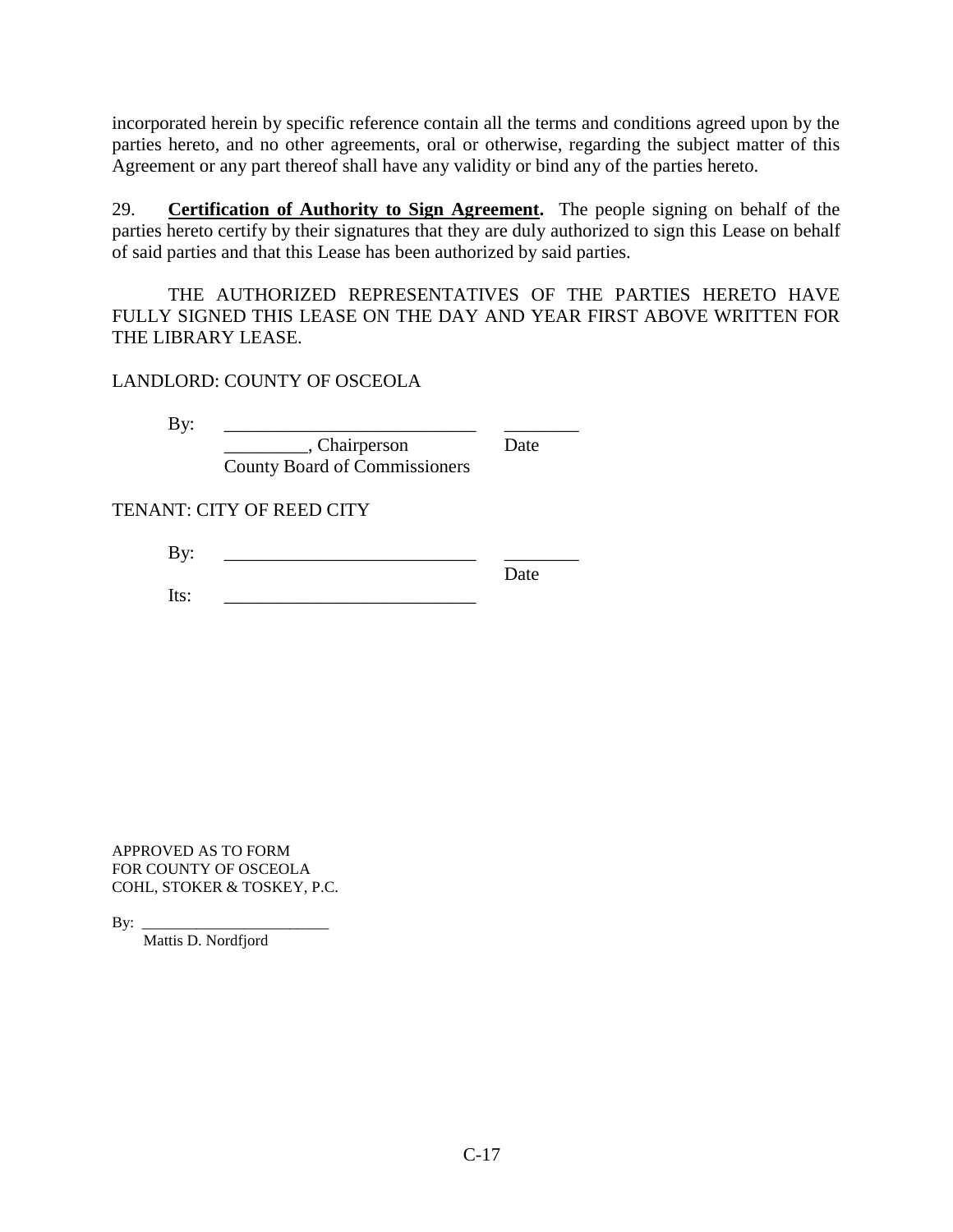incorporated herein by specific reference contain all the terms and conditions agreed upon by the parties hereto, and no other agreements, oral or otherwise, regarding the subject matter of this Agreement or any part thereof shall have any validity or bind any of the parties hereto.

29. **Certification of Authority to Sign Agreement.** The people signing on behalf of the parties hereto certify by their signatures that they are duly authorized to sign this Lease on behalf of said parties and that this Lease has been authorized by said parties.

THE AUTHORIZED REPRESENTATIVES OF THE PARTIES HERETO HAVE FULLY SIGNED THIS LEASE ON THE DAY AND YEAR FIRST ABOVE WRITTEN FOR THE LIBRARY LEASE.

LANDLORD: COUNTY OF OSCEOLA

By: \_\_\_\_\_\_\_\_\_\_\_\_\_\_\_\_\_\_\_\_\_\_\_\_\_\_\_ \_\_\_\_\_\_\_\_ \_\_\_\_\_\_\_\_\_, Chairperson Date County Board of Commissioners

TENANT: CITY OF REED CITY

By: \_\_\_\_\_\_\_\_\_\_\_\_\_\_\_\_\_\_\_\_\_\_\_\_\_\_\_ \_\_\_\_\_\_\_\_ Date  $Its: \_$ 

APPROVED AS TO FORM FOR COUNTY OF OSCEOLA COHL, STOKER & TOSKEY, P.C.

 $By:$ 

Mattis D. Nordfjord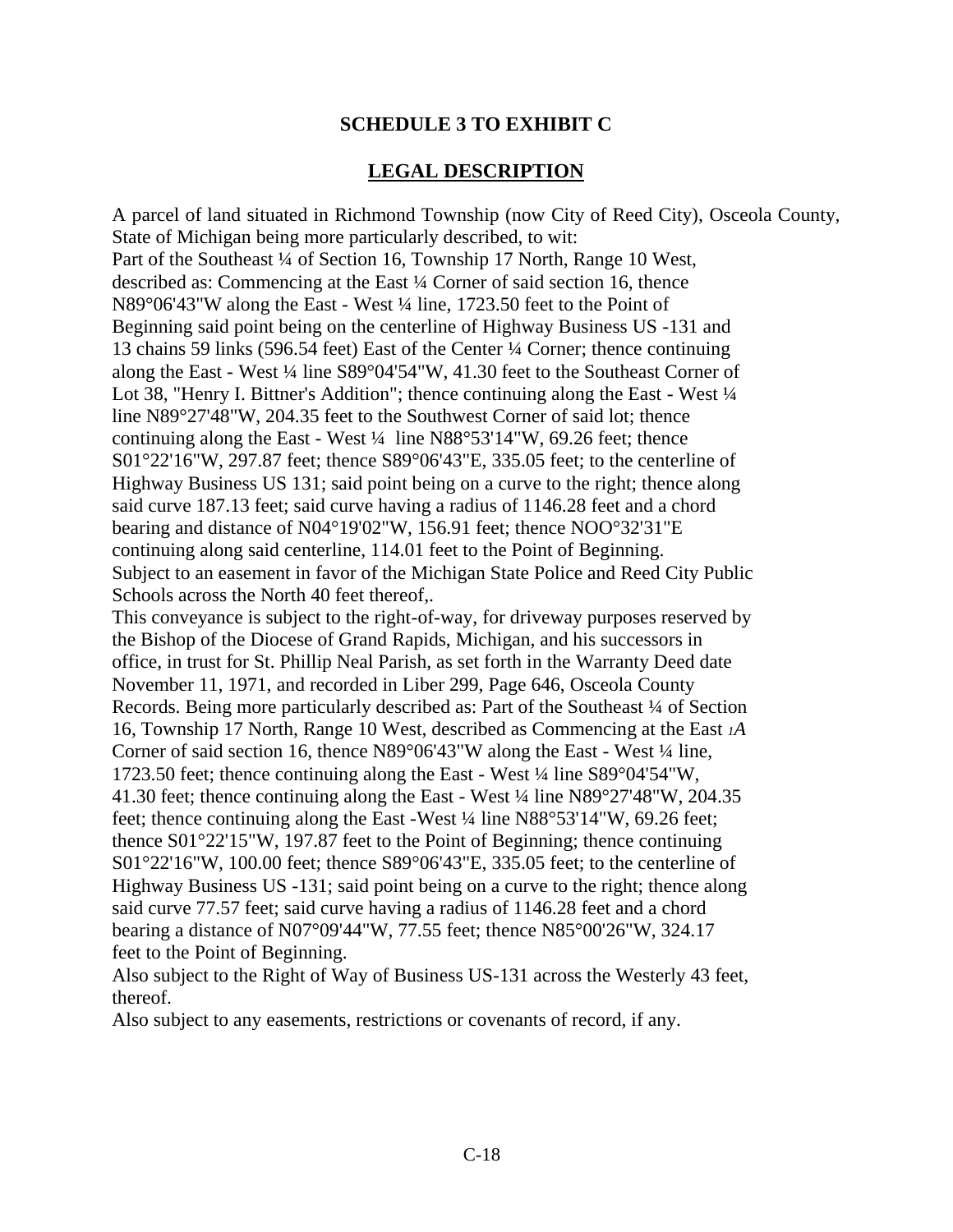## **SCHEDULE 3 TO EXHIBIT C**

## **LEGAL DESCRIPTION**

A parcel of land situated in Richmond Township (now City of Reed City), Osceola County, State of Michigan being more particularly described, to wit: Part of the Southeast ¼ of Section 16, Township 17 North, Range 10 West, described as: Commencing at the East ¼ Corner of said section 16, thence N89°06'43"W along the East - West ¼ line, 1723.50 feet to the Point of Beginning said point being on the centerline of Highway Business US -131 and 13 chains 59 links (596.54 feet) East of the Center ¼ Corner; thence continuing along the East - West ¼ line S89°04'54"W, 41.30 feet to the Southeast Corner of Lot 38, "Henry I. Bittner's Addition"; thence continuing along the East - West  $\frac{1}{4}$ line N89°27'48"W, 204.35 feet to the Southwest Corner of said lot; thence continuing along the East - West ¼ line N88°53'14"W, 69.26 feet; thence S01°22'16"W, 297.87 feet; thence S89°06'43"E, 335.05 feet; to the centerline of Highway Business US 131; said point being on a curve to the right; thence along said curve 187.13 feet; said curve having a radius of 1146.28 feet and a chord bearing and distance of N04°19'02"W, 156.91 feet; thence NOO°32'31"E continuing along said centerline, 114.01 feet to the Point of Beginning. Subject to an easement in favor of the Michigan State Police and Reed City Public Schools across the North 40 feet thereof,.

This conveyance is subject to the right-of-way, for driveway purposes reserved by the Bishop of the Diocese of Grand Rapids, Michigan, and his successors in office, in trust for St. Phillip Neal Parish, as set forth in the Warranty Deed date November 11, 1971, and recorded in Liber 299, Page 646, Osceola County Records. Being more particularly described as: Part of the Southeast <sup>1</sup>/4 of Section 16, Township 17 North, Range 10 West, described as Commencing at the East *1A* Corner of said section 16, thence N89°06'43"W along the East - West ¼ line, 1723.50 feet; thence continuing along the East - West ¼ line S89°04'54"W, 41.30 feet; thence continuing along the East - West ¼ line N89°27'48"W, 204.35 feet; thence continuing along the East -West ¼ line N88°53'14"W, 69.26 feet; thence S01°22'15"W, 197.87 feet to the Point of Beginning; thence continuing S01°22'16"W, 100.00 feet; thence S89°06'43"E, 335.05 feet; to the centerline of Highway Business US -131; said point being on a curve to the right; thence along said curve 77.57 feet; said curve having a radius of 1146.28 feet and a chord bearing a distance of N07°09'44"W, 77.55 feet; thence N85°00'26"W, 324.17 feet to the Point of Beginning.

Also subject to the Right of Way of Business US-131 across the Westerly 43 feet, thereof.

Also subject to any easements, restrictions or covenants of record, if any.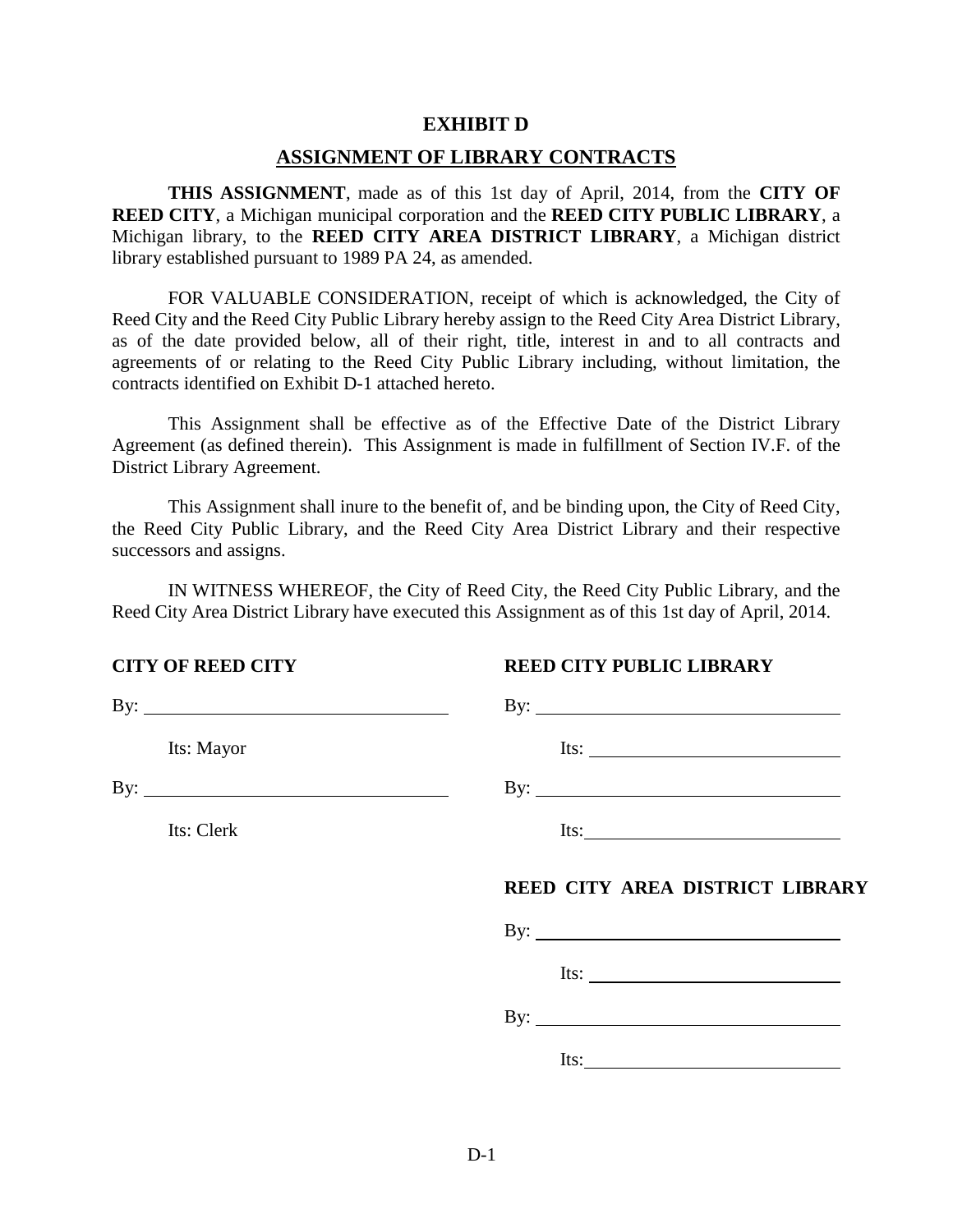#### **EXHIBIT D**

#### **ASSIGNMENT OF LIBRARY CONTRACTS**

**THIS ASSIGNMENT**, made as of this 1st day of April, 2014, from the **CITY OF REED CITY**, a Michigan municipal corporation and the **REED CITY PUBLIC LIBRARY**, a Michigan library, to the **REED CITY AREA DISTRICT LIBRARY**, a Michigan district library established pursuant to 1989 PA 24, as amended.

FOR VALUABLE CONSIDERATION, receipt of which is acknowledged, the City of Reed City and the Reed City Public Library hereby assign to the Reed City Area District Library, as of the date provided below, all of their right, title, interest in and to all contracts and agreements of or relating to the Reed City Public Library including, without limitation, the contracts identified on Exhibit D-1 attached hereto.

This Assignment shall be effective as of the Effective Date of the District Library Agreement (as defined therein). This Assignment is made in fulfillment of Section IV.F. of the District Library Agreement.

This Assignment shall inure to the benefit of, and be binding upon, the City of Reed City, the Reed City Public Library, and the Reed City Area District Library and their respective successors and assigns.

IN WITNESS WHEREOF, the City of Reed City, the Reed City Public Library, and the Reed City Area District Library have executed this Assignment as of this 1st day of April, 2014.

#### **CITY OF REED CITY REED CITY PUBLIC LIBRARY**

| By: $\overline{\phantom{a}}$ | By: $\qquad \qquad$             |
|------------------------------|---------------------------------|
| Its: Mayor                   |                                 |
| By: $\qquad \qquad$          |                                 |
| Its: Clerk                   |                                 |
|                              | REED CITY AREA DISTRICT LIBRARY |
|                              |                                 |
|                              | Its: $\qquad \qquad$            |
|                              | By: $\overline{\phantom{a}}$    |
|                              | Its: $\qquad \qquad$            |